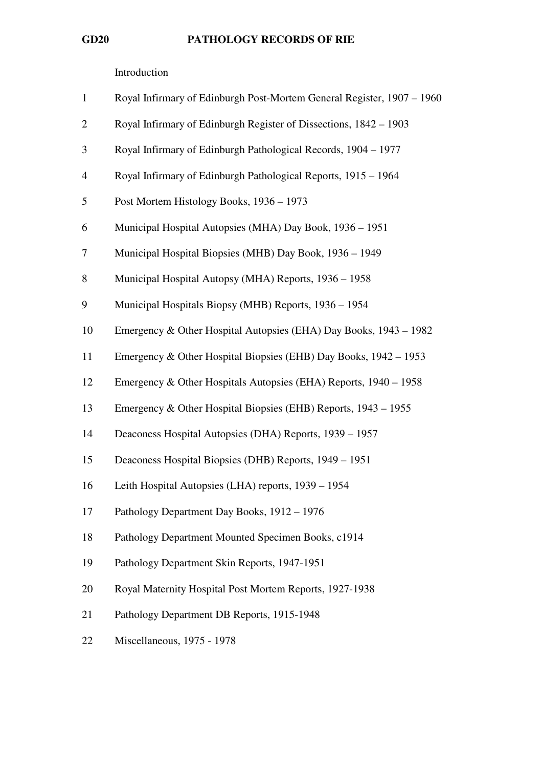Introduction

| $\mathbf{1}$   | Royal Infirmary of Edinburgh Post-Mortem General Register, 1907 - 1960 |
|----------------|------------------------------------------------------------------------|
| $\overline{2}$ | Royal Infirmary of Edinburgh Register of Dissections, 1842 – 1903      |
| 3              | Royal Infirmary of Edinburgh Pathological Records, 1904 – 1977         |
| $\overline{4}$ | Royal Infirmary of Edinburgh Pathological Reports, 1915 - 1964         |
| 5              | Post Mortem Histology Books, 1936 – 1973                               |
| 6              | Municipal Hospital Autopsies (MHA) Day Book, 1936 - 1951               |
| 7              | Municipal Hospital Biopsies (MHB) Day Book, 1936 - 1949                |
| 8              | Municipal Hospital Autopsy (MHA) Reports, 1936 - 1958                  |
| 9              | Municipal Hospitals Biopsy (MHB) Reports, 1936 - 1954                  |
| 10             | Emergency & Other Hospital Autopsies (EHA) Day Books, 1943 – 1982      |
| 11             | Emergency & Other Hospital Biopsies (EHB) Day Books, 1942 – 1953       |
| 12             | Emergency & Other Hospitals Autopsies (EHA) Reports, 1940 – 1958       |
| 13             | Emergency & Other Hospital Biopsies (EHB) Reports, 1943 – 1955         |
| 14             | Deaconess Hospital Autopsies (DHA) Reports, 1939 - 1957                |
| 15             | Deaconess Hospital Biopsies (DHB) Reports, 1949 – 1951                 |
| 16             | Leith Hospital Autopsies (LHA) reports, 1939 - 1954                    |
| 17             | Pathology Department Day Books, 1912 - 1976                            |
| 18             | Pathology Department Mounted Specimen Books, c1914                     |
| 19             | Pathology Department Skin Reports, 1947-1951                           |
| 20             | Royal Maternity Hospital Post Mortem Reports, 1927-1938                |
| 21             | Pathology Department DB Reports, 1915-1948                             |
| 22             | Miscellaneous, 1975 - 1978                                             |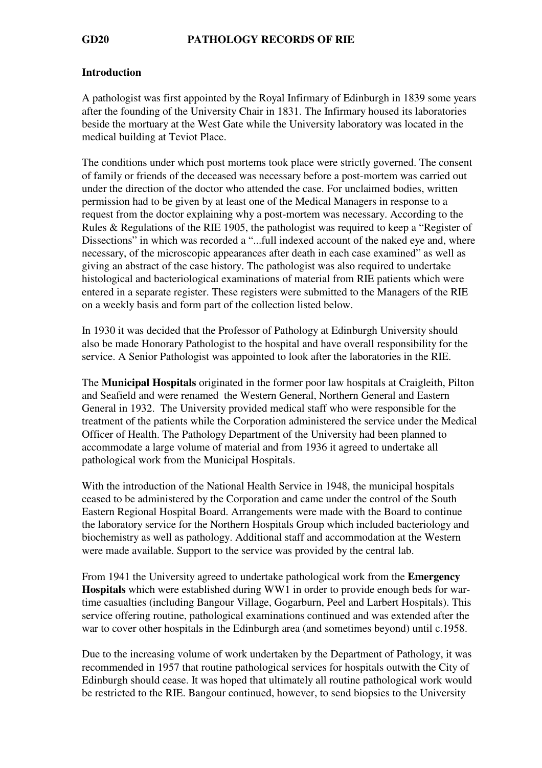### Introduction

A pathologist was first appointed by the Royal Infirmary of Edinburgh in 1839 some years after the founding of the University Chair in 1831. The Infirmary housed its laboratories beside the mortuary at the West Gate while the University laboratory was located in the medical building at Teviot Place.

The conditions under which post mortems took place were strictly governed. The consent of family or friends of the deceased was necessary before a post-mortem was carried out under the direction of the doctor who attended the case. For unclaimed bodies, written permission had to be given by at least one of the Medical Managers in response to a request from the doctor explaining why a post-mortem was necessary. According to the Rules & Regulations of the RIE 1905, the pathologist was required to keep a "Register of Dissections" in which was recorded a "...full indexed account of the naked eye and, where necessary, of the microscopic appearances after death in each case examined" as well as giving an abstract of the case history. The pathologist was also required to undertake histological and bacteriological examinations of material from RIE patients which were entered in a separate register. These registers were submitted to the Managers of the RIE on a weekly basis and form part of the collection listed below.

In 1930 it was decided that the Professor of Pathology at Edinburgh University should also be made Honorary Pathologist to the hospital and have overall responsibility for the service. A Senior Pathologist was appointed to look after the laboratories in the RIE.

The Municipal Hospitals originated in the former poor law hospitals at Craigleith, Pilton and Seafield and were renamed the Western General, Northern General and Eastern General in 1932. The University provided medical staff who were responsible for the treatment of the patients while the Corporation administered the service under the Medical Officer of Health. The Pathology Department of the University had been planned to accommodate a large volume of material and from 1936 it agreed to undertake all pathological work from the Municipal Hospitals.

With the introduction of the National Health Service in 1948, the municipal hospitals ceased to be administered by the Corporation and came under the control of the South Eastern Regional Hospital Board. Arrangements were made with the Board to continue the laboratory service for the Northern Hospitals Group which included bacteriology and biochemistry as well as pathology. Additional staff and accommodation at the Western were made available. Support to the service was provided by the central lab.

From 1941 the University agreed to undertake pathological work from the Emergency Hospitals which were established during WW1 in order to provide enough beds for wartime casualties (including Bangour Village, Gogarburn, Peel and Larbert Hospitals). This service offering routine, pathological examinations continued and was extended after the war to cover other hospitals in the Edinburgh area (and sometimes beyond) until c.1958.

Due to the increasing volume of work undertaken by the Department of Pathology, it was recommended in 1957 that routine pathological services for hospitals outwith the City of Edinburgh should cease. It was hoped that ultimately all routine pathological work would be restricted to the RIE. Bangour continued, however, to send biopsies to the University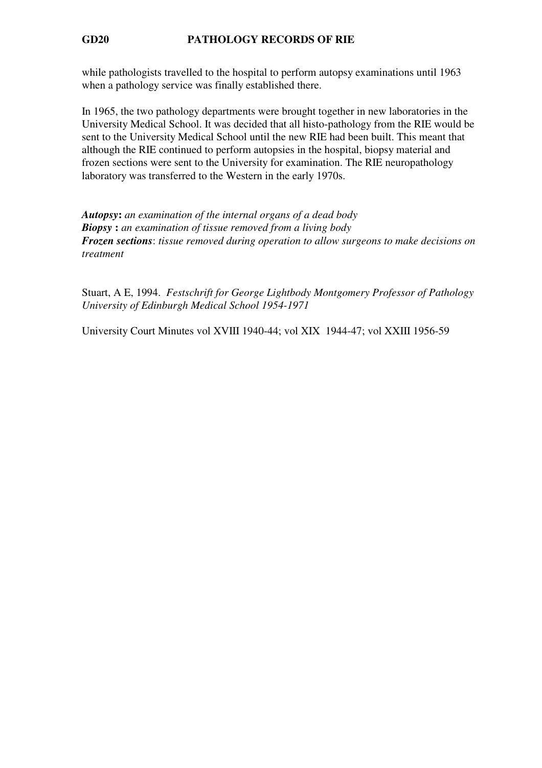while pathologists travelled to the hospital to perform autopsy examinations until 1963 when a pathology service was finally established there.

In 1965, the two pathology departments were brought together in new laboratories in the University Medical School. It was decided that all histo-pathology from the RIE would be sent to the University Medical School until the new RIE had been built. This meant that although the RIE continued to perform autopsies in the hospital, biopsy material and frozen sections were sent to the University for examination. The RIE neuropathology laboratory was transferred to the Western in the early 1970s.

Autopsy: an examination of the internal organs of a dead body **Biopsy**: an examination of tissue removed from a living body Frozen sections: tissue removed during operation to allow surgeons to make decisions on treatment

Stuart, A E, 1994. Festschrift for George Lightbody Montgomery Professor of Pathology University of Edinburgh Medical School 1954-1971

University Court Minutes vol XVIII 1940-44; vol XIX 1944-47; vol XXIII 1956-59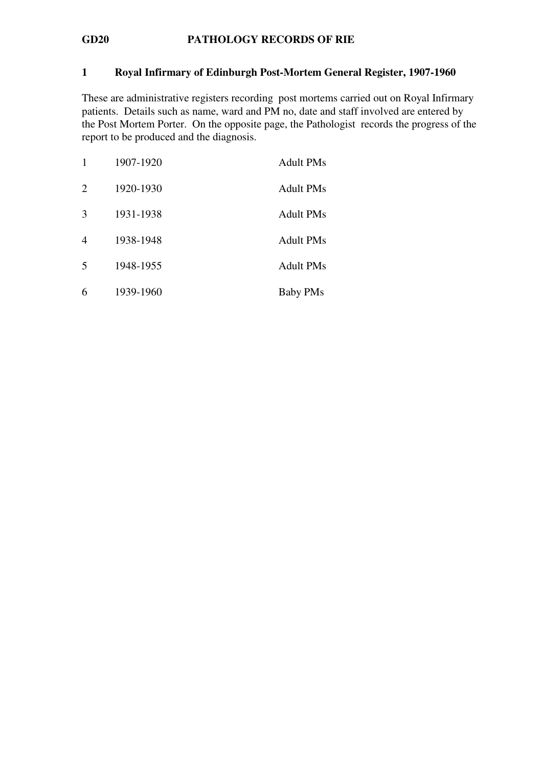### 1 Royal Infirmary of Edinburgh Post-Mortem General Register, 1907-1960

These are administrative registers recording post mortems carried out on Royal Infirmary patients. Details such as name, ward and PM no, date and staff involved are entered by the Post Mortem Porter. On the opposite page, the Pathologist records the progress of the report to be produced and the diagnosis.

| 1              | 1907-1920 | <b>Adult PMs</b> |
|----------------|-----------|------------------|
| $\overline{2}$ | 1920-1930 | <b>Adult PMs</b> |
| 3              | 1931-1938 | <b>Adult PMs</b> |
| $\overline{4}$ | 1938-1948 | <b>Adult PMs</b> |
| 5              | 1948-1955 | <b>Adult PMs</b> |
| 6              | 1939-1960 | <b>Baby PMs</b>  |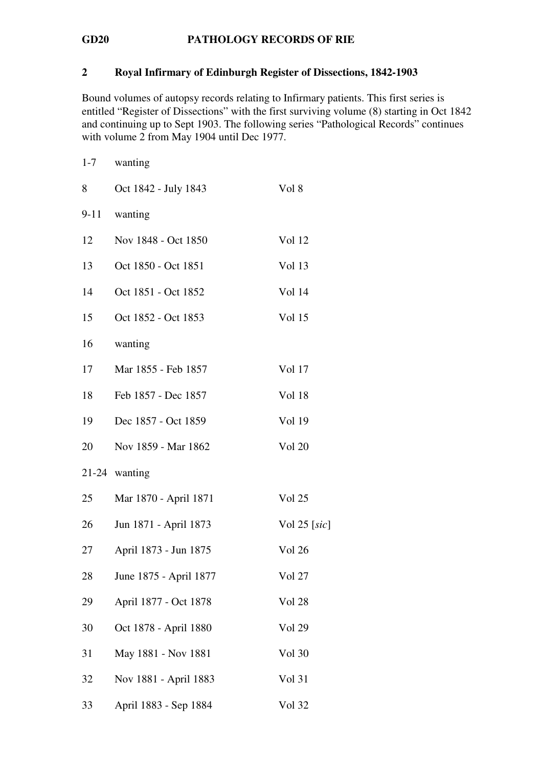### 2 Royal Infirmary of Edinburgh Register of Dissections, 1842-1903

Bound volumes of autopsy records relating to Infirmary patients. This first series is entitled "Register of Dissections" with the first surviving volume (8) starting in Oct 1842 and continuing up to Sept 1903. The following series "Pathological Records" continues with volume 2 from May 1904 until Dec 1977.

| $1 - 7$  | wanting                |               |
|----------|------------------------|---------------|
| 8        | Oct 1842 - July 1843   | Vol 8         |
| $9 - 11$ | wanting                |               |
| 12       | Nov 1848 - Oct 1850    | Vol 12        |
| 13       | Oct 1850 - Oct 1851    | Vol 13        |
| 14       | Oct 1851 - Oct 1852    | <b>Vol</b> 14 |
| 15       | Oct 1852 - Oct 1853    | Vol 15        |
| 16       | wanting                |               |
| 17       | Mar 1855 - Feb 1857    | Vol 17        |
| 18       | Feb 1857 - Dec 1857    | Vol 18        |
| 19       | Dec 1857 - Oct 1859    | Vol 19        |
| 20       | Nov 1859 - Mar 1862    | <b>Vol 20</b> |
|          | $21-24$ wanting        |               |
| 25       | Mar 1870 - April 1871  | Vol 25        |
| 26       | Jun 1871 - April 1873  | Vol 25 [sic]  |
| 27       | April 1873 - Jun 1875  | Vol 26        |
| 28       | June 1875 - April 1877 | <b>Vol</b> 27 |
| 29       | April 1877 - Oct 1878  | <b>Vol 28</b> |
| 30       | Oct 1878 - April 1880  | Vol 29        |
| 31       | May 1881 - Nov 1881    | Vol 30        |
| 32       | Nov 1881 - April 1883  | Vol 31        |
| 33       | April 1883 - Sep 1884  | <b>Vol</b> 32 |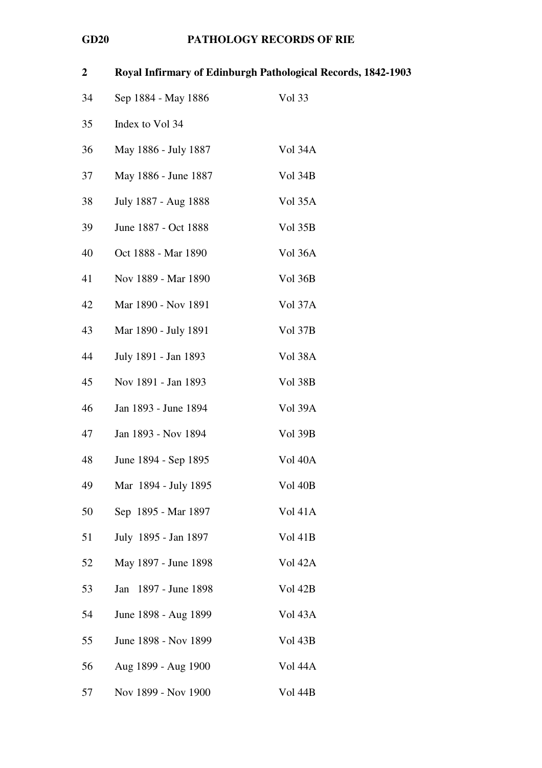| $\boldsymbol{2}$ |                      | Royal Infirmary of Edinburgh Pathological Records, 1842-1903 |
|------------------|----------------------|--------------------------------------------------------------|
| 34               | Sep 1884 - May 1886  | Vol 33                                                       |
| 35               | Index to Vol 34      |                                                              |
| 36               | May 1886 - July 1887 | Vol 34A                                                      |
| 37               | May 1886 - June 1887 | Vol 34B                                                      |
| 38               | July 1887 - Aug 1888 | Vol 35A                                                      |
| 39               | June 1887 - Oct 1888 | Vol 35B                                                      |
| 40               | Oct 1888 - Mar 1890  | Vol 36A                                                      |
| 41               | Nov 1889 - Mar 1890  | Vol 36B                                                      |
| 42               | Mar 1890 - Nov 1891  | Vol 37A                                                      |
| 43               | Mar 1890 - July 1891 | Vol 37B                                                      |
| 44               | July 1891 - Jan 1893 | Vol 38A                                                      |
| 45               | Nov 1891 - Jan 1893  | Vol 38B                                                      |
| 46               | Jan 1893 - June 1894 | Vol 39A                                                      |
| 47               | Jan 1893 - Nov 1894  | Vol 39B                                                      |
| 48               | June 1894 - Sep 1895 | Vol 40A                                                      |
| 49               | Mar 1894 - July 1895 | Vol 40B                                                      |
| 50               | Sep 1895 - Mar 1897  | <b>Vol 41A</b>                                               |
| 51               | July 1895 - Jan 1897 | Vol 41B                                                      |
| 52               | May 1897 - June 1898 | Vol 42A                                                      |
| 53               | Jan 1897 - June 1898 | Vol 42B                                                      |
| 54               | June 1898 - Aug 1899 | Vol 43A                                                      |
| 55               | June 1898 - Nov 1899 | Vol 43B                                                      |
| 56               | Aug 1899 - Aug 1900  | Vol 44A                                                      |
| 57               | Nov 1899 - Nov 1900  | Vol 44B                                                      |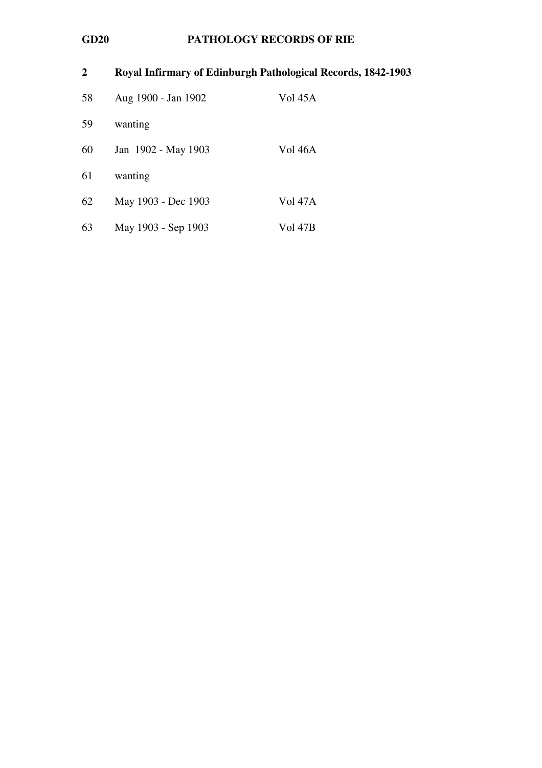| $\mathbf{2}$ | Royal Infirmary of Edinburgh Pathological Records, 1842-1903 |                |
|--------------|--------------------------------------------------------------|----------------|
| 58           | Aug 1900 - Jan 1902                                          | <b>Vol</b> 45A |
| 59           | wanting                                                      |                |
| 60           | Jan 1902 - May 1903                                          | Vol 46A        |
| 61           | wanting                                                      |                |
| 62           | May 1903 - Dec 1903                                          | <b>Vol 47A</b> |
| 63           | May 1903 - Sep 1903                                          | <b>Vol 47B</b> |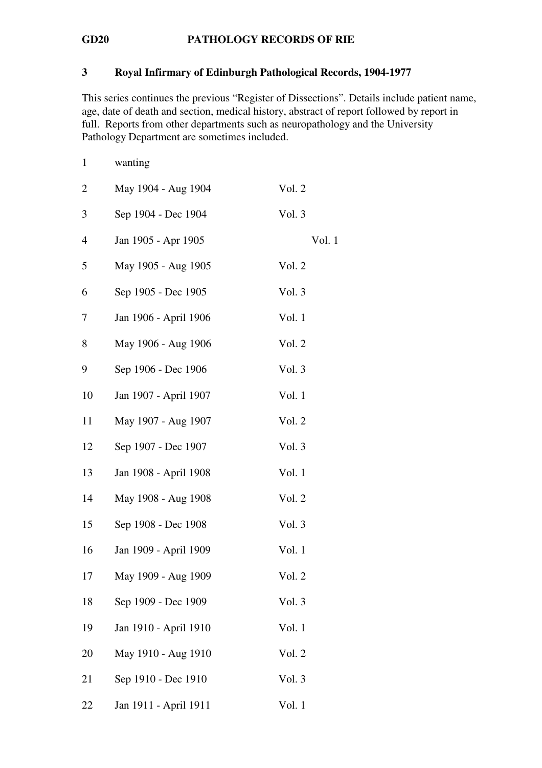### 3 Royal Infirmary of Edinburgh Pathological Records, 1904-1977

This series continues the previous "Register of Dissections". Details include patient name, age, date of death and section, medical history, abstract of report followed by report in full. Reports from other departments such as neuropathology and the University Pathology Department are sometimes included.

| $\mathbf{1}$   | wanting               |        |        |
|----------------|-----------------------|--------|--------|
| $\overline{2}$ | May 1904 - Aug 1904   | Vol. 2 |        |
| 3              | Sep 1904 - Dec 1904   | Vol. 3 |        |
| 4              | Jan 1905 - Apr 1905   |        | Vol. 1 |
| 5              | May 1905 - Aug 1905   | Vol. 2 |        |
| 6              | Sep 1905 - Dec 1905   | Vol. 3 |        |
| 7              | Jan 1906 - April 1906 | Vol. 1 |        |
| 8              | May 1906 - Aug 1906   | Vol. 2 |        |
| 9              | Sep 1906 - Dec 1906   | Vol. 3 |        |
| 10             | Jan 1907 - April 1907 | Vol. 1 |        |
| 11             | May 1907 - Aug 1907   | Vol. 2 |        |
| 12             | Sep 1907 - Dec 1907   | Vol. 3 |        |
| 13             | Jan 1908 - April 1908 | Vol. 1 |        |
| 14             | May 1908 - Aug 1908   | Vol. 2 |        |
| 15             | Sep 1908 - Dec 1908   | Vol. 3 |        |
| 16             | Jan 1909 - April 1909 | Vol. 1 |        |
| 17             | May 1909 - Aug 1909   | Vol. 2 |        |
| 18             | Sep 1909 - Dec 1909   | Vol. 3 |        |
| 19             | Jan 1910 - April 1910 | Vol. 1 |        |
| 20             | May 1910 - Aug 1910   | Vol. 2 |        |
| 21             | Sep 1910 - Dec 1910   | Vol. 3 |        |
| 22             | Jan 1911 - April 1911 | Vol. 1 |        |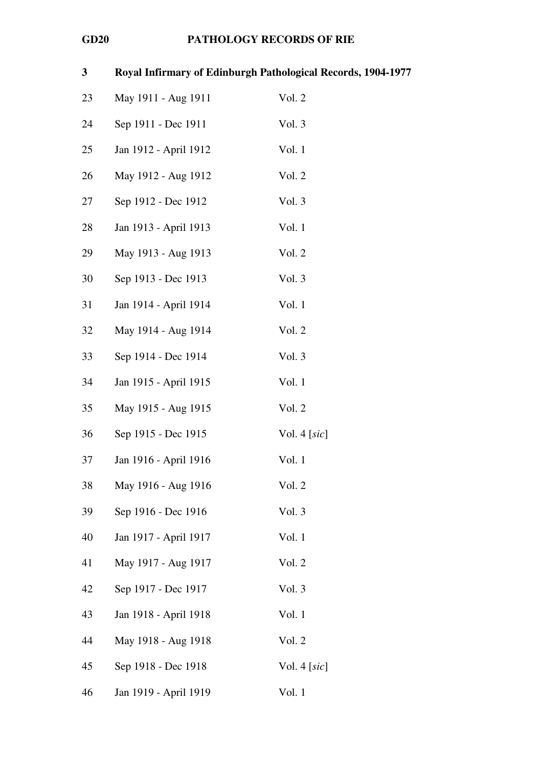| $\mathbf{3}$ |                       | Royal Infirmary of Edinburgh Pathological Records, 1904-1977 |
|--------------|-----------------------|--------------------------------------------------------------|
| 23           | May 1911 - Aug 1911   | Vol. 2                                                       |
| 24           | Sep 1911 - Dec 1911   | Vol. 3                                                       |
| 25           | Jan 1912 - April 1912 | Vol. 1                                                       |
| 26           | May 1912 - Aug 1912   | Vol. 2                                                       |
| 27           | Sep 1912 - Dec 1912   | Vol. 3                                                       |
| 28           | Jan 1913 - April 1913 | Vol. 1                                                       |
| 29           | May 1913 - Aug 1913   | Vol. 2                                                       |
| 30           | Sep 1913 - Dec 1913   | Vol. 3                                                       |
| 31           | Jan 1914 - April 1914 | Vol. 1                                                       |
| 32           | May 1914 - Aug 1914   | Vol. 2                                                       |
| 33           | Sep 1914 - Dec 1914   | Vol. 3                                                       |
| 34           | Jan 1915 - April 1915 | Vol. 1                                                       |
| 35           | May 1915 - Aug 1915   | Vol. 2                                                       |
| 36           | Sep 1915 - Dec 1915   | Vol. 4 $[sic]$                                               |
| 37           | Jan 1916 - April 1916 | Vol. 1                                                       |
| 38           | May 1916 - Aug 1916   | Vol. 2                                                       |
| 39           | Sep 1916 - Dec 1916   | Vol. 3                                                       |
| 40           | Jan 1917 - April 1917 | Vol. 1                                                       |
| 41           | May 1917 - Aug 1917   | Vol. 2                                                       |
| 42           | Sep 1917 - Dec 1917   | Vol. 3                                                       |
| 43           | Jan 1918 - April 1918 | Vol. 1                                                       |
| 44           | May 1918 - Aug 1918   | Vol. 2                                                       |
| 45           | Sep 1918 - Dec 1918   | Vol. 4 $[sic]$                                               |
| 46           | Jan 1919 - April 1919 | Vol. 1                                                       |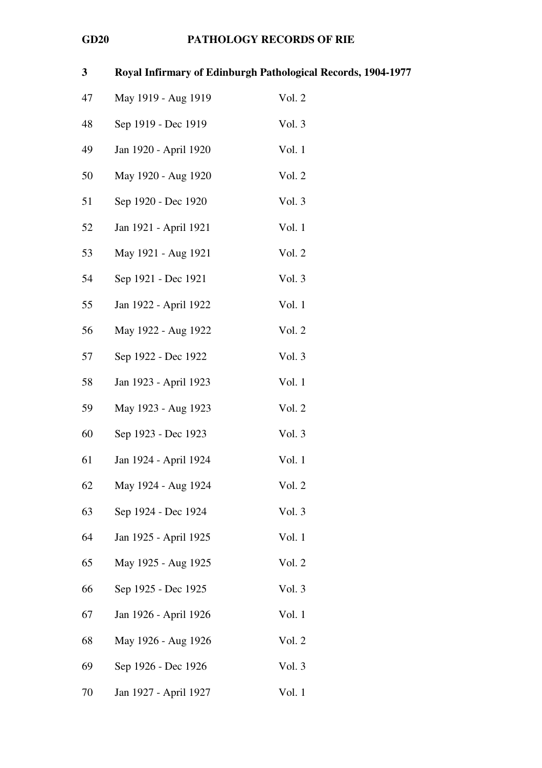| $\mathbf{3}$ | Royal Infirmary of Edinburgh Pathological Records, 1904-1977 |        |
|--------------|--------------------------------------------------------------|--------|
| 47           | May 1919 - Aug 1919                                          | Vol. 2 |
| 48           | Sep 1919 - Dec 1919                                          | Vol. 3 |
| 49           | Jan 1920 - April 1920                                        | Vol. 1 |
| 50           | May 1920 - Aug 1920                                          | Vol. 2 |
| 51           | Sep 1920 - Dec 1920                                          | Vol. 3 |
| 52           | Jan 1921 - April 1921                                        | Vol. 1 |
| 53           | May 1921 - Aug 1921                                          | Vol. 2 |
| 54           | Sep 1921 - Dec 1921                                          | Vol. 3 |
| 55           | Jan 1922 - April 1922                                        | Vol. 1 |
| 56           | May 1922 - Aug 1922                                          | Vol. 2 |
| 57           | Sep 1922 - Dec 1922                                          | Vol. 3 |
| 58           | Jan 1923 - April 1923                                        | Vol. 1 |
| 59           | May 1923 - Aug 1923                                          | Vol. 2 |
| 60           | Sep 1923 - Dec 1923                                          | Vol. 3 |
| 61           | Jan 1924 - April 1924                                        | Vol. 1 |
| 62           | May 1924 - Aug 1924                                          | Vol. 2 |
| 63           | Sep 1924 - Dec 1924                                          | Vol. 3 |
| 64           | Jan 1925 - April 1925                                        | Vol. 1 |
| 65           | May 1925 - Aug 1925                                          | Vol. 2 |
| 66           | Sep 1925 - Dec 1925                                          | Vol. 3 |
| 67           | Jan 1926 - April 1926                                        | Vol. 1 |
| 68           | May 1926 - Aug 1926                                          | Vol. 2 |
| 69           | Sep 1926 - Dec 1926                                          | Vol. 3 |
| 70           | Jan 1927 - April 1927                                        | Vol. 1 |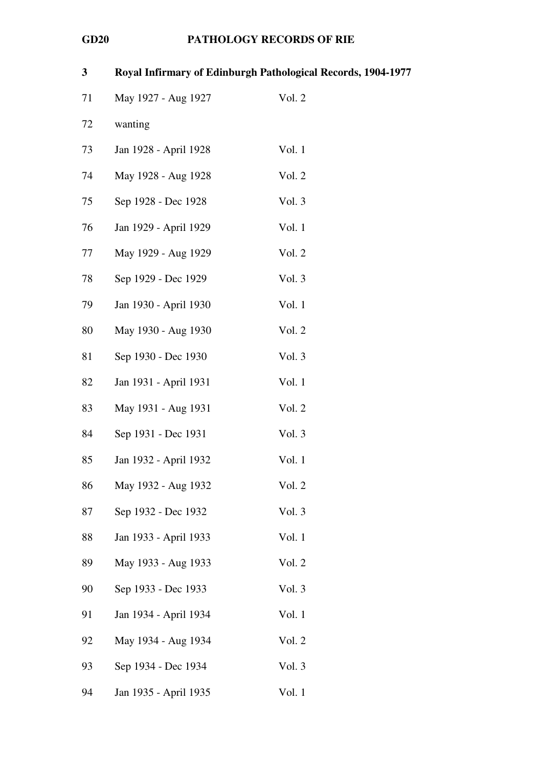| $\mathbf{3}$ | Royal Infirmary of Edinburgh Pathological Records, 1904-1977 |        |
|--------------|--------------------------------------------------------------|--------|
| 71           | May 1927 - Aug 1927                                          | Vol. 2 |
| 72           | wanting                                                      |        |
| 73           | Jan 1928 - April 1928                                        | Vol. 1 |
| 74           | May 1928 - Aug 1928                                          | Vol. 2 |
| 75           | Sep 1928 - Dec 1928                                          | Vol. 3 |
| 76           | Jan 1929 - April 1929                                        | Vol. 1 |
| 77           | May 1929 - Aug 1929                                          | Vol. 2 |
| 78           | Sep 1929 - Dec 1929                                          | Vol. 3 |
| 79           | Jan 1930 - April 1930                                        | Vol. 1 |
| 80           | May 1930 - Aug 1930                                          | Vol. 2 |
| 81           | Sep 1930 - Dec 1930                                          | Vol. 3 |
| 82           | Jan 1931 - April 1931                                        | Vol. 1 |
| 83           | May 1931 - Aug 1931                                          | Vol. 2 |
| 84           | Sep 1931 - Dec 1931                                          | Vol. 3 |
| 85           | Jan 1932 - April 1932                                        | Vol. 1 |
| 86           | May 1932 - Aug 1932                                          | Vol. 2 |
| 87           | Sep 1932 - Dec 1932                                          | Vol. 3 |
| 88           | Jan 1933 - April 1933                                        | Vol. 1 |
| 89           | May 1933 - Aug 1933                                          | Vol. 2 |
| 90           | Sep 1933 - Dec 1933                                          | Vol. 3 |
| 91           | Jan 1934 - April 1934                                        | Vol. 1 |
| 92           | May 1934 - Aug 1934                                          | Vol. 2 |
| 93           | Sep 1934 - Dec 1934                                          | Vol. 3 |
| 94           | Jan 1935 - April 1935                                        | Vol. 1 |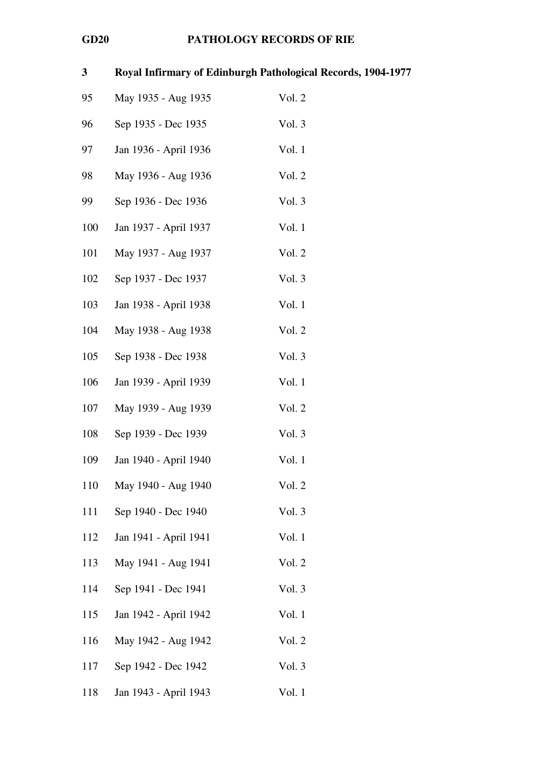| 3   |                       | Royal Infirmary of Edinburgh Pathological Records, 1904-1977 |
|-----|-----------------------|--------------------------------------------------------------|
| 95  | May 1935 - Aug 1935   | Vol. 2                                                       |
| 96  | Sep 1935 - Dec 1935   | Vol. 3                                                       |
| 97  | Jan 1936 - April 1936 | Vol. 1                                                       |
| 98  | May 1936 - Aug 1936   | Vol. 2                                                       |
| 99  | Sep 1936 - Dec 1936   | Vol. 3                                                       |
| 100 | Jan 1937 - April 1937 | Vol. 1                                                       |
| 101 | May 1937 - Aug 1937   | Vol. 2                                                       |
| 102 | Sep 1937 - Dec 1937   | Vol. 3                                                       |
| 103 | Jan 1938 - April 1938 | Vol. 1                                                       |
| 104 | May 1938 - Aug 1938   | Vol. 2                                                       |
| 105 | Sep 1938 - Dec 1938   | Vol. 3                                                       |
| 106 | Jan 1939 - April 1939 | Vol. 1                                                       |
| 107 | May 1939 - Aug 1939   | Vol. 2                                                       |
| 108 | Sep 1939 - Dec 1939   | Vol. 3                                                       |
| 109 | Jan 1940 - April 1940 | Vol. 1                                                       |
| 110 | May 1940 - Aug 1940   | Vol. 2                                                       |
| 111 | Sep 1940 - Dec 1940   | Vol. 3                                                       |
| 112 | Jan 1941 - April 1941 | Vol. 1                                                       |
| 113 | May 1941 - Aug 1941   | Vol. 2                                                       |
| 114 | Sep 1941 - Dec 1941   | Vol. 3                                                       |
| 115 | Jan 1942 - April 1942 | Vol. 1                                                       |
| 116 | May 1942 - Aug 1942   | Vol. 2                                                       |
| 117 | Sep 1942 - Dec 1942   | Vol. 3                                                       |
| 118 | Jan 1943 - April 1943 | Vol. 1                                                       |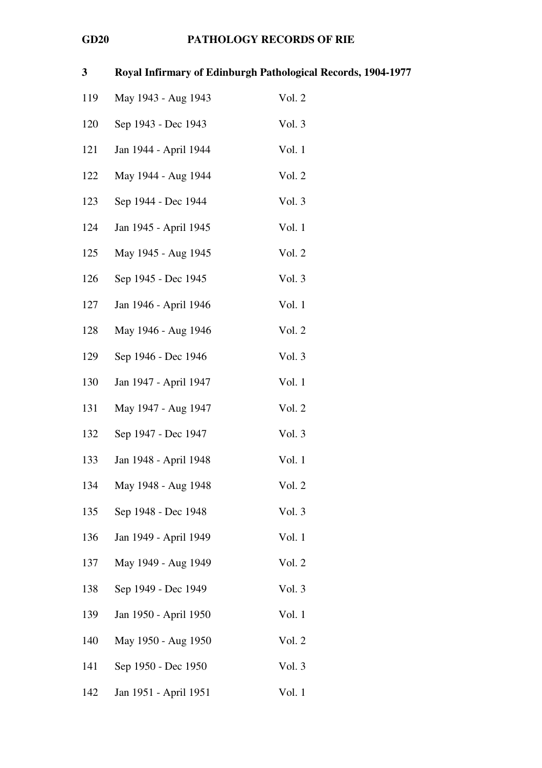| 3   |                       | Royal Infirmary of Edinburgh Pathological Records, 1904-1977 |
|-----|-----------------------|--------------------------------------------------------------|
| 119 | May 1943 - Aug 1943   | Vol. 2                                                       |
| 120 | Sep 1943 - Dec 1943   | Vol. 3                                                       |
| 121 | Jan 1944 - April 1944 | Vol. 1                                                       |
| 122 | May 1944 - Aug 1944   | Vol. 2                                                       |
| 123 | Sep 1944 - Dec 1944   | Vol. 3                                                       |
| 124 | Jan 1945 - April 1945 | Vol. 1                                                       |
| 125 | May 1945 - Aug 1945   | Vol. 2                                                       |
| 126 | Sep 1945 - Dec 1945   | Vol. 3                                                       |
| 127 | Jan 1946 - April 1946 | Vol. 1                                                       |
| 128 | May 1946 - Aug 1946   | Vol. 2                                                       |
| 129 | Sep 1946 - Dec 1946   | Vol. 3                                                       |
| 130 | Jan 1947 - April 1947 | Vol. 1                                                       |
| 131 | May 1947 - Aug 1947   | Vol. 2                                                       |
| 132 | Sep 1947 - Dec 1947   | Vol. 3                                                       |
| 133 | Jan 1948 - April 1948 | Vol. 1                                                       |
| 134 | May 1948 - Aug 1948   | Vol. 2                                                       |
| 135 | Sep 1948 - Dec 1948   | Vol. 3                                                       |
| 136 | Jan 1949 - April 1949 | Vol. 1                                                       |
| 137 | May 1949 - Aug 1949   | Vol. 2                                                       |
| 138 | Sep 1949 - Dec 1949   | Vol. 3                                                       |
| 139 | Jan 1950 - April 1950 | Vol. 1                                                       |
| 140 | May 1950 - Aug 1950   | Vol. 2                                                       |
| 141 | Sep 1950 - Dec 1950   | Vol. 3                                                       |
| 142 | Jan 1951 - April 1951 | Vol. 1                                                       |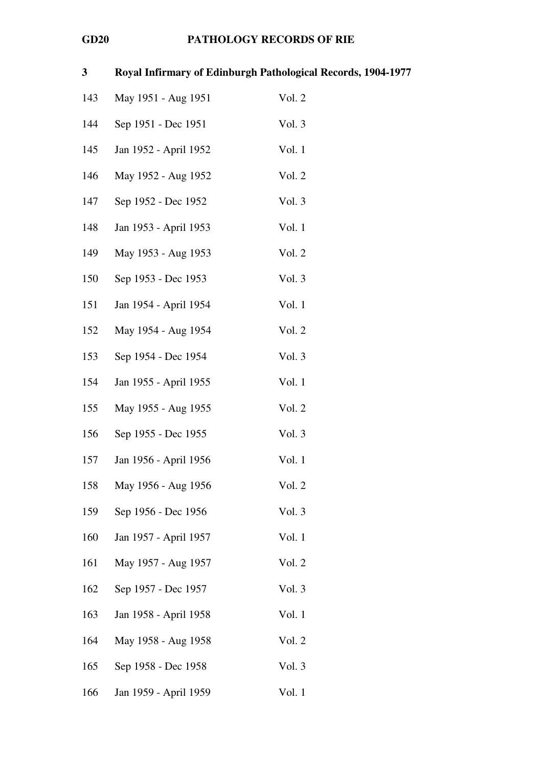| 3   | Royal Infirmary of Edinburgh Pathological Records, 1904-1977 |        |
|-----|--------------------------------------------------------------|--------|
| 143 | May 1951 - Aug 1951                                          | Vol. 2 |
| 144 | Sep 1951 - Dec 1951                                          | Vol. 3 |
| 145 | Jan 1952 - April 1952                                        | Vol. 1 |
| 146 | May 1952 - Aug 1952                                          | Vol. 2 |
| 147 | Sep 1952 - Dec 1952                                          | Vol. 3 |
| 148 | Jan 1953 - April 1953                                        | Vol. 1 |
| 149 | May 1953 - Aug 1953                                          | Vol. 2 |
| 150 | Sep 1953 - Dec 1953                                          | Vol. 3 |
| 151 | Jan 1954 - April 1954                                        | Vol. 1 |
| 152 | May 1954 - Aug 1954                                          | Vol. 2 |
| 153 | Sep 1954 - Dec 1954                                          | Vol. 3 |
| 154 | Jan 1955 - April 1955                                        | Vol. 1 |
| 155 | May 1955 - Aug 1955                                          | Vol. 2 |
| 156 | Sep 1955 - Dec 1955                                          | Vol. 3 |
| 157 | Jan 1956 - April 1956                                        | Vol. 1 |
| 158 | May 1956 - Aug 1956                                          | Vol. 2 |
| 159 | Sep 1956 - Dec 1956                                          | Vol. 3 |
| 160 | Jan 1957 - April 1957                                        | Vol. 1 |
| 161 | May 1957 - Aug 1957                                          | Vol. 2 |
| 162 | Sep 1957 - Dec 1957                                          | Vol. 3 |
| 163 | Jan 1958 - April 1958                                        | Vol. 1 |
| 164 | May 1958 - Aug 1958                                          | Vol. 2 |
| 165 | Sep 1958 - Dec 1958                                          | Vol. 3 |
| 166 | Jan 1959 - April 1959                                        | Vol. 1 |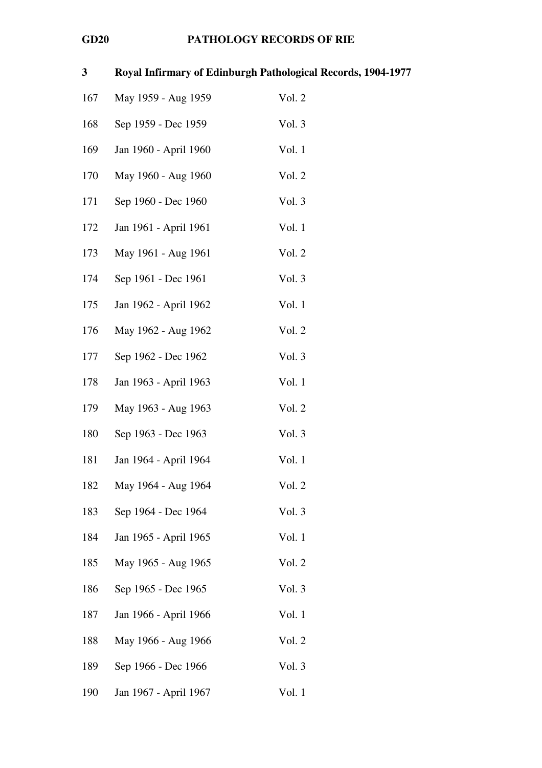| $\mathbf{3}$ |                       | Royal Infirmary of Edinburgh Pathological Records, 1904-1977 |
|--------------|-----------------------|--------------------------------------------------------------|
| 167          | May 1959 - Aug 1959   | Vol. 2                                                       |
| 168          | Sep 1959 - Dec 1959   | Vol. 3                                                       |
| 169          | Jan 1960 - April 1960 | Vol. 1                                                       |
| 170          | May 1960 - Aug 1960   | Vol. 2                                                       |
| 171          | Sep 1960 - Dec 1960   | Vol. 3                                                       |
| 172          | Jan 1961 - April 1961 | Vol. 1                                                       |
| 173          | May 1961 - Aug 1961   | Vol. 2                                                       |
| 174          | Sep 1961 - Dec 1961   | Vol. 3                                                       |
| 175          | Jan 1962 - April 1962 | Vol. 1                                                       |
| 176          | May 1962 - Aug 1962   | Vol. 2                                                       |
| 177          | Sep 1962 - Dec 1962   | Vol. 3                                                       |
| 178          | Jan 1963 - April 1963 | Vol. 1                                                       |
| 179          | May 1963 - Aug 1963   | Vol. 2                                                       |
| 180          | Sep 1963 - Dec 1963   | Vol. 3                                                       |
| 181          | Jan 1964 - April 1964 | Vol. 1                                                       |
| 182          | May 1964 - Aug 1964   | Vol. 2                                                       |
| 183          | Sep 1964 - Dec 1964   | Vol. 3                                                       |
| 184          | Jan 1965 - April 1965 | Vol. 1                                                       |
| 185          | May 1965 - Aug 1965   | Vol. 2                                                       |
| 186          | Sep 1965 - Dec 1965   | Vol. 3                                                       |
| 187          | Jan 1966 - April 1966 | Vol. 1                                                       |
| 188          | May 1966 - Aug 1966   | Vol. 2                                                       |
| 189          | Sep 1966 - Dec 1966   | Vol. 3                                                       |
| 190          | Jan 1967 - April 1967 | Vol. 1                                                       |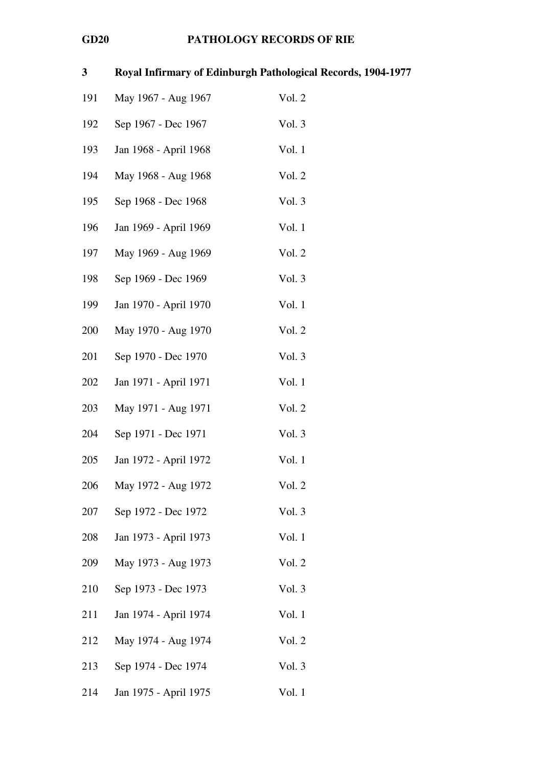| 3   |                       | Royal Infirmary of Edinburgh Pathological Records, 1904-1977 |
|-----|-----------------------|--------------------------------------------------------------|
| 191 | May 1967 - Aug 1967   | Vol. 2                                                       |
| 192 | Sep 1967 - Dec 1967   | Vol. 3                                                       |
| 193 | Jan 1968 - April 1968 | Vol. 1                                                       |
| 194 | May 1968 - Aug 1968   | Vol. 2                                                       |
| 195 | Sep 1968 - Dec 1968   | Vol. 3                                                       |
| 196 | Jan 1969 - April 1969 | Vol. 1                                                       |
| 197 | May 1969 - Aug 1969   | Vol. 2                                                       |
| 198 | Sep 1969 - Dec 1969   | Vol. 3                                                       |
| 199 | Jan 1970 - April 1970 | Vol. 1                                                       |
| 200 | May 1970 - Aug 1970   | Vol. 2                                                       |
| 201 | Sep 1970 - Dec 1970   | Vol. 3                                                       |
| 202 | Jan 1971 - April 1971 | Vol. 1                                                       |
| 203 | May 1971 - Aug 1971   | Vol. 2                                                       |
| 204 | Sep 1971 - Dec 1971   | Vol. 3                                                       |
| 205 | Jan 1972 - April 1972 | Vol. 1                                                       |
| 206 | May 1972 - Aug 1972   | Vol. 2                                                       |
| 207 | Sep 1972 - Dec 1972   | Vol. 3                                                       |
| 208 | Jan 1973 - April 1973 | Vol. 1                                                       |
| 209 | May 1973 - Aug 1973   | Vol. 2                                                       |
| 210 | Sep 1973 - Dec 1973   | Vol. 3                                                       |
| 211 | Jan 1974 - April 1974 | Vol. 1                                                       |
| 212 | May 1974 - Aug 1974   | Vol. 2                                                       |
| 213 | Sep 1974 - Dec 1974   | Vol. 3                                                       |
| 214 | Jan 1975 - April 1975 | Vol. 1                                                       |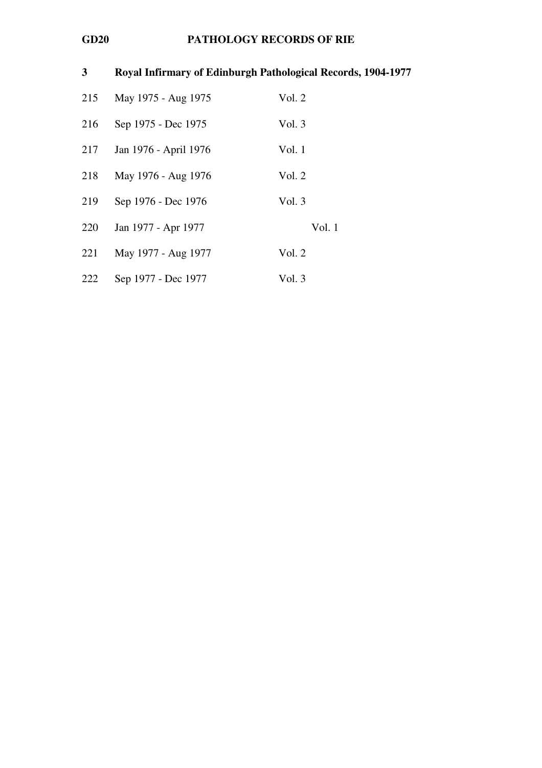| 3   | Royal Infirmary of Edinburgh Pathological Records, 1904-1977 |        |
|-----|--------------------------------------------------------------|--------|
| 215 | May 1975 - Aug 1975                                          | Vol. 2 |
| 216 | Sep 1975 - Dec 1975                                          | Vol. 3 |
| 217 | Jan 1976 - April 1976                                        | Vol. 1 |
| 218 | May 1976 - Aug 1976                                          | Vol. 2 |
| 219 | Sep 1976 - Dec 1976                                          | Vol. 3 |
| 220 | Jan 1977 - Apr 1977                                          | Vol.1  |
| 221 | May 1977 - Aug 1977                                          | Vol. 2 |
| 222 | Sep 1977 - Dec 1977                                          | Vol. 3 |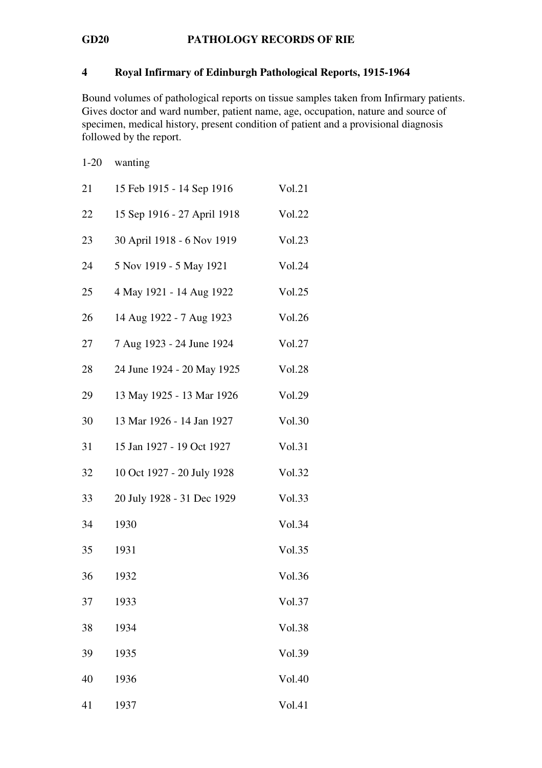### 4 Royal Infirmary of Edinburgh Pathological Reports, 1915-1964

Bound volumes of pathological reports on tissue samples taken from Infirmary patients. Gives doctor and ward number, patient name, age, occupation, nature and source of specimen, medical history, present condition of patient and a provisional diagnosis followed by the report.

| $1 - 20$ | wanting                     |               |
|----------|-----------------------------|---------------|
| 21       | 15 Feb 1915 - 14 Sep 1916   | Vol.21        |
| 22       | 15 Sep 1916 - 27 April 1918 | Vol.22        |
| 23       | 30 April 1918 - 6 Nov 1919  | Vol.23        |
| 24       | 5 Nov 1919 - 5 May 1921     | Vol.24        |
| 25       | 4 May 1921 - 14 Aug 1922    | Vol.25        |
| 26       | 14 Aug 1922 - 7 Aug 1923    | Vol.26        |
| 27       | 7 Aug 1923 - 24 June 1924   | Vol.27        |
| 28       | 24 June 1924 - 20 May 1925  | <b>Vol.28</b> |
| 29       | 13 May 1925 - 13 Mar 1926   | Vol.29        |
| 30       | 13 Mar 1926 - 14 Jan 1927   | Vol.30        |
| 31       | 15 Jan 1927 - 19 Oct 1927   | Vol.31        |
| 32       | 10 Oct 1927 - 20 July 1928  | Vol.32        |
| 33       | 20 July 1928 - 31 Dec 1929  | Vol.33        |
| 34       | 1930                        | Vol.34        |
| 35       | 1931                        | Vol.35        |
| 36       | 1932                        | Vol.36        |
| 37       | 1933                        | Vol.37        |
| 38       | 1934                        | Vol.38        |
| 39       | 1935                        | Vol.39        |
| 40       | 1936                        | Vol.40        |

41 1937 Vol.41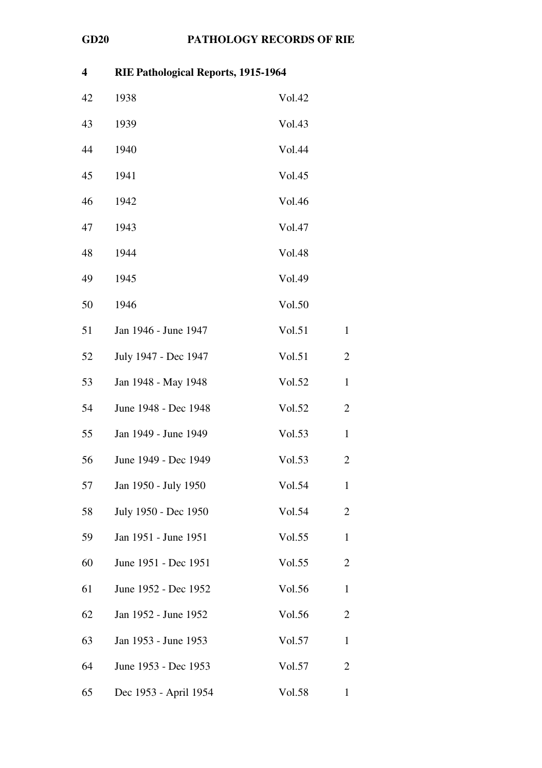| $\overline{\mathbf{4}}$ | RIE Pathological Reports, 1915-1964 |               |                |  |
|-------------------------|-------------------------------------|---------------|----------------|--|
| 42                      | 1938                                | Vol.42        |                |  |
| 43                      | 1939                                | Vol.43        |                |  |
| 44                      | 1940                                | Vol.44        |                |  |
| 45                      | 1941                                | Vol.45        |                |  |
| 46                      | 1942                                | Vol.46        |                |  |
| 47                      | 1943                                | Vol.47        |                |  |
| 48                      | 1944                                | <b>Vol.48</b> |                |  |
| 49                      | 1945                                | Vol.49        |                |  |
| 50                      | 1946                                | Vol.50        |                |  |
| 51                      | Jan 1946 - June 1947                | Vol.51        | $\mathbf{1}$   |  |
| 52                      | July 1947 - Dec 1947                | Vol.51        | $\overline{2}$ |  |
| 53                      | Jan 1948 - May 1948                 | Vol.52        | $\mathbf{1}$   |  |
| 54                      | June 1948 - Dec 1948                | Vol.52        | $\overline{2}$ |  |
| 55                      | Jan 1949 - June 1949                | Vol.53        | $\mathbf{1}$   |  |
| 56                      | June 1949 - Dec 1949                | Vol.53        | $\overline{c}$ |  |
| 57                      | Jan 1950 - July 1950                | Vol.54        | $\mathbf{1}$   |  |
| 58                      | July 1950 - Dec 1950                | Vol.54        | $\overline{2}$ |  |
| 59                      | Jan 1951 - June 1951                | Vol.55        | $\mathbf{1}$   |  |
| 60                      | June 1951 - Dec 1951                | Vol.55        | $\overline{2}$ |  |
| 61                      | June 1952 - Dec 1952                | Vol.56        | $\mathbf{1}$   |  |
| 62                      | Jan 1952 - June 1952                | Vol.56        | $\overline{2}$ |  |
| 63                      | Jan 1953 - June 1953                | Vol.57        | $\mathbf{1}$   |  |
| 64                      | June 1953 - Dec 1953                | Vol.57        | $\overline{2}$ |  |
| 65                      | Dec 1953 - April 1954               | Vol.58        | $\mathbf{1}$   |  |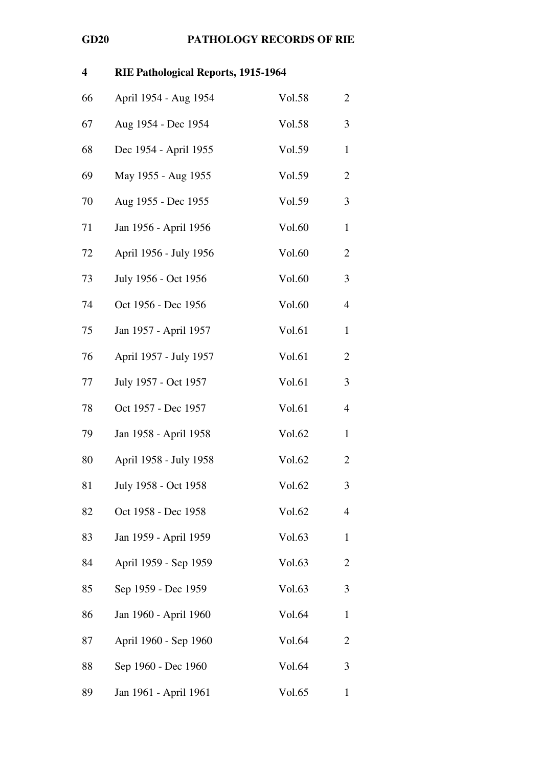| 4  | RIE Pathological Reports, 1915-1964 |        |                |
|----|-------------------------------------|--------|----------------|
| 66 | April 1954 - Aug 1954               | Vol.58 | $\overline{c}$ |
| 67 | Aug 1954 - Dec 1954                 | Vol.58 | 3              |
| 68 | Dec 1954 - April 1955               | Vol.59 | $\mathbf{1}$   |
| 69 | May 1955 - Aug 1955                 | Vol.59 | $\overline{c}$ |
| 70 | Aug 1955 - Dec 1955                 | Vol.59 | 3              |
| 71 | Jan 1956 - April 1956               | Vol.60 | $\mathbf{1}$   |
| 72 | April 1956 - July 1956              | Vol.60 | $\overline{2}$ |
| 73 | July 1956 - Oct 1956                | Vol.60 | 3              |
| 74 | Oct 1956 - Dec 1956                 | Vol.60 | 4              |
| 75 | Jan 1957 - April 1957               | Vol.61 | $\mathbf{1}$   |
| 76 | April 1957 - July 1957              | Vol.61 | $\overline{2}$ |
| 77 | July 1957 - Oct 1957                | Vol.61 | 3              |
| 78 | Oct 1957 - Dec 1957                 | Vol.61 | 4              |
| 79 | Jan 1958 - April 1958               | Vol.62 | $\mathbf{1}$   |
| 80 | April 1958 - July 1958              | Vol.62 | $\overline{2}$ |
| 81 | July 1958 - Oct 1958                | Vol.62 | 3              |
| 82 | Oct 1958 - Dec 1958                 | Vol.62 | $\overline{4}$ |
| 83 | Jan 1959 - April 1959               | Vol.63 | $\mathbf{1}$   |
| 84 | April 1959 - Sep 1959               | Vol.63 | $\overline{2}$ |
| 85 | Sep 1959 - Dec 1959                 | Vol.63 | 3              |
| 86 | Jan 1960 - April 1960               | Vol.64 | $\mathbf{1}$   |
| 87 | April 1960 - Sep 1960               | Vol.64 | $\overline{c}$ |
| 88 | Sep 1960 - Dec 1960                 | Vol.64 | 3              |
| 89 | Jan 1961 - April 1961               | Vol.65 | $\mathbf{1}$   |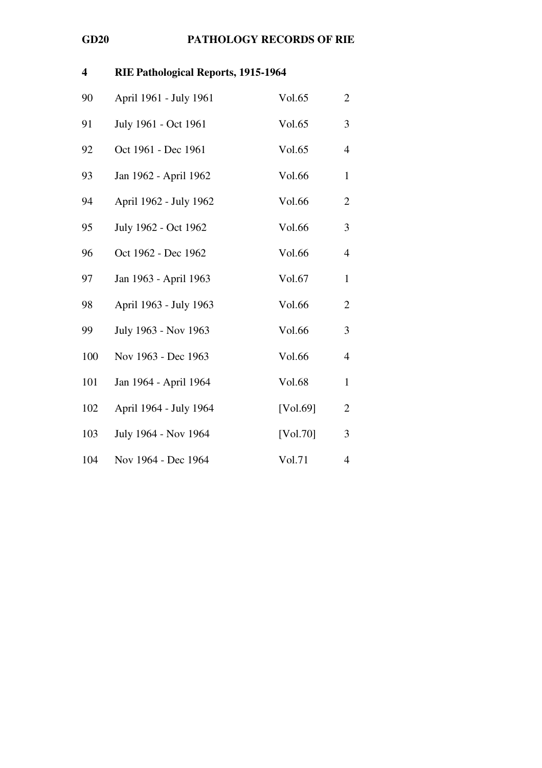| $\overline{\mathbf{4}}$ | RIE Pathological Reports, 1915-1964 |          |                |
|-------------------------|-------------------------------------|----------|----------------|
| 90                      | April 1961 - July 1961              | Vol.65   | $\overline{2}$ |
| 91                      | July 1961 - Oct 1961                | Vol.65   | 3              |
| 92                      | Oct 1961 - Dec 1961                 | Vol.65   | $\overline{4}$ |
| 93                      | Jan 1962 - April 1962               | Vol.66   | $\mathbf{1}$   |
| 94                      | April 1962 - July 1962              | Vol.66   | $\overline{2}$ |
| 95                      | July 1962 - Oct 1962                | Vol.66   | 3              |
| 96                      | Oct 1962 - Dec 1962                 | Vol.66   | $\overline{4}$ |
| 97                      | Jan 1963 - April 1963               | Vol.67   | $\mathbf{1}$   |
| 98                      | April 1963 - July 1963              | Vol.66   | $\overline{2}$ |
| 99                      | July 1963 - Nov 1963                | Vol.66   | 3              |
| 100                     | Nov 1963 - Dec 1963                 | Vol.66   | 4              |
| 101                     | Jan 1964 - April 1964               | Vol.68   | $\mathbf{1}$   |
| 102                     | April 1964 - July 1964              | [Vol.69] | $\mathfrak{2}$ |
| 103                     | July 1964 - Nov 1964                | [Vol.70] | 3              |
| 104                     | Nov 1964 - Dec 1964                 | Vol.71   | 4              |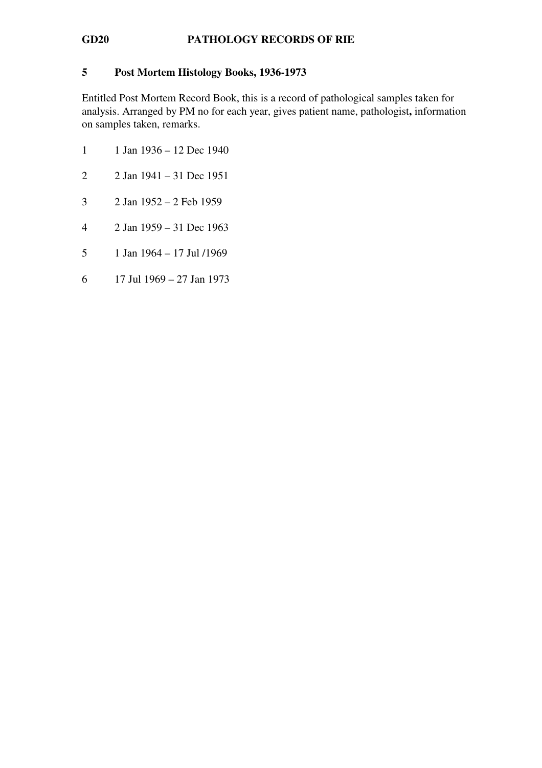### 5 Post Mortem Histology Books, 1936-1973

Entitled Post Mortem Record Book, this is a record of pathological samples taken for analysis. Arranged by PM no for each year, gives patient name, pathologist, information on samples taken, remarks.

- 1 1 Jan 1936 12 Dec 1940
- 2 2 Jan 1941 31 Dec 1951
- 3 2 Jan 1952 2 Feb 1959
- 4 2 Jan 1959 31 Dec 1963
- 5 1 Jan 1964 17 Jul /1969
- 6 17 Jul 1969 27 Jan 1973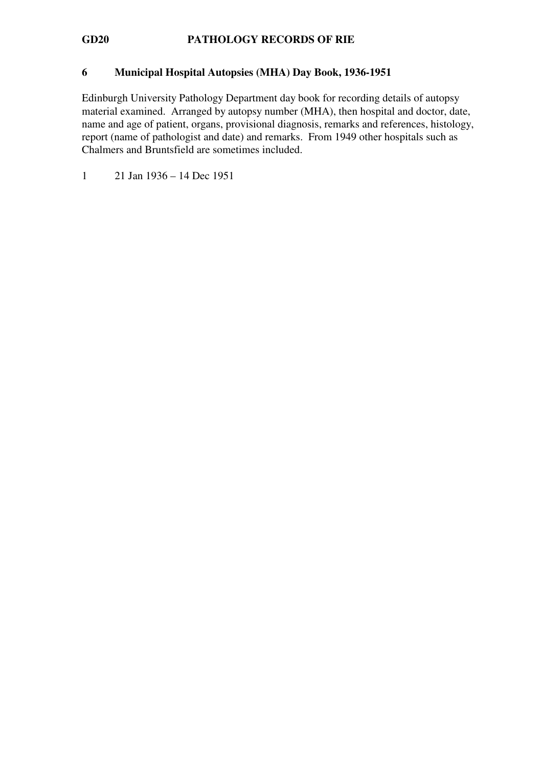### 6 Municipal Hospital Autopsies (MHA) Day Book, 1936-1951

Edinburgh University Pathology Department day book for recording details of autopsy material examined. Arranged by autopsy number (MHA), then hospital and doctor, date, name and age of patient, organs, provisional diagnosis, remarks and references, histology, report (name of pathologist and date) and remarks. From 1949 other hospitals such as Chalmers and Bruntsfield are sometimes included.

1 21 Jan 1936 – 14 Dec 1951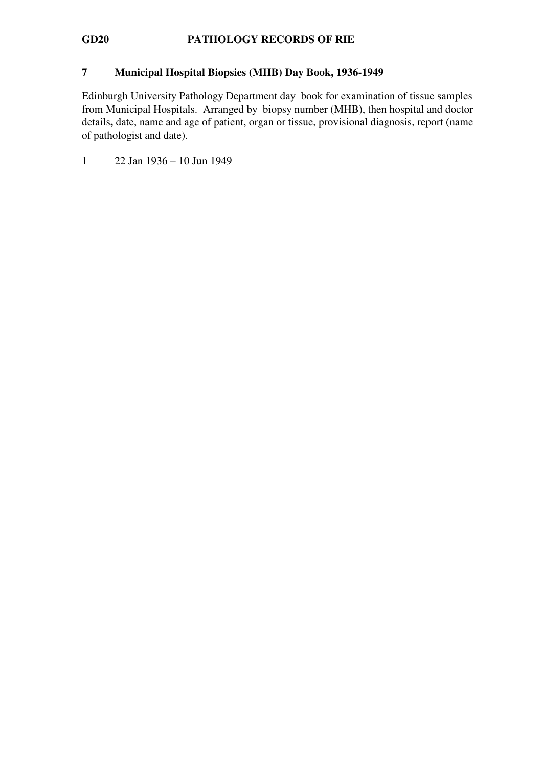### 7 Municipal Hospital Biopsies (MHB) Day Book, 1936-1949

Edinburgh University Pathology Department day book for examination of tissue samples from Municipal Hospitals. Arranged by biopsy number (MHB), then hospital and doctor details, date, name and age of patient, organ or tissue, provisional diagnosis, report (name of pathologist and date).

1 22 Jan 1936 – 10 Jun 1949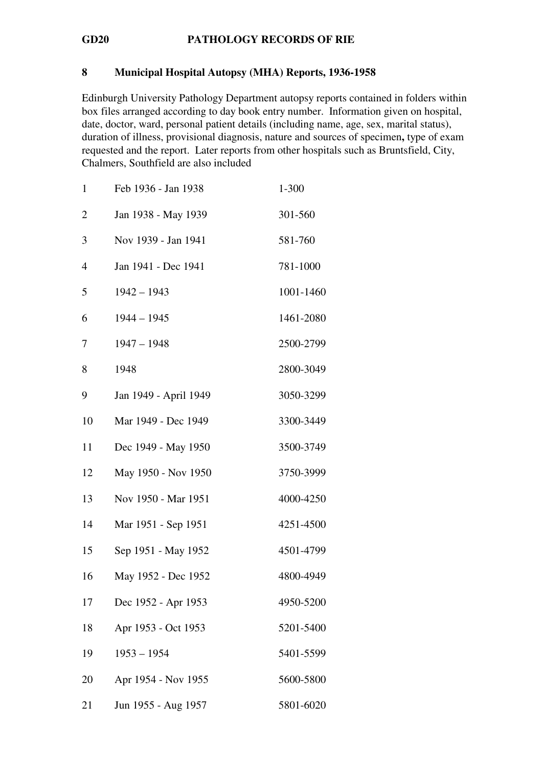# 8 Municipal Hospital Autopsy (MHA) Reports, 1936-1958

Edinburgh University Pathology Department autopsy reports contained in folders within box files arranged according to day book entry number. Information given on hospital, date, doctor, ward, personal patient details (including name, age, sex, marital status), duration of illness, provisional diagnosis, nature and sources of specimen, type of exam requested and the report. Later reports from other hospitals such as Bruntsfield, City, Chalmers, Southfield are also included

| $\mathbf{1}$   | Feb 1936 - Jan 1938   | $1 - 300$ |
|----------------|-----------------------|-----------|
| $\overline{c}$ | Jan 1938 - May 1939   | 301-560   |
| 3              | Nov 1939 - Jan 1941   | 581-760   |
| 4              | Jan 1941 - Dec 1941   | 781-1000  |
| 5              | $1942 - 1943$         | 1001-1460 |
| 6              | $1944 - 1945$         | 1461-2080 |
| 7              | $1947 - 1948$         | 2500-2799 |
| 8              | 1948                  | 2800-3049 |
| 9              | Jan 1949 - April 1949 | 3050-3299 |
| 10             | Mar 1949 - Dec 1949   | 3300-3449 |
| 11             | Dec 1949 - May 1950   | 3500-3749 |
| 12             | May 1950 - Nov 1950   | 3750-3999 |
| 13             | Nov 1950 - Mar 1951   | 4000-4250 |
| 14             | Mar 1951 - Sep 1951   | 4251-4500 |
| 15             | Sep 1951 - May 1952   | 4501-4799 |
| 16             | May 1952 - Dec 1952   | 4800-4949 |
| 17             | Dec 1952 - Apr 1953   | 4950-5200 |
| 18             | Apr 1953 - Oct 1953   | 5201-5400 |
| 19             | $1953 - 1954$         | 5401-5599 |
| 20             | Apr 1954 - Nov 1955   | 5600-5800 |
| 21             | Jun 1955 - Aug 1957   | 5801-6020 |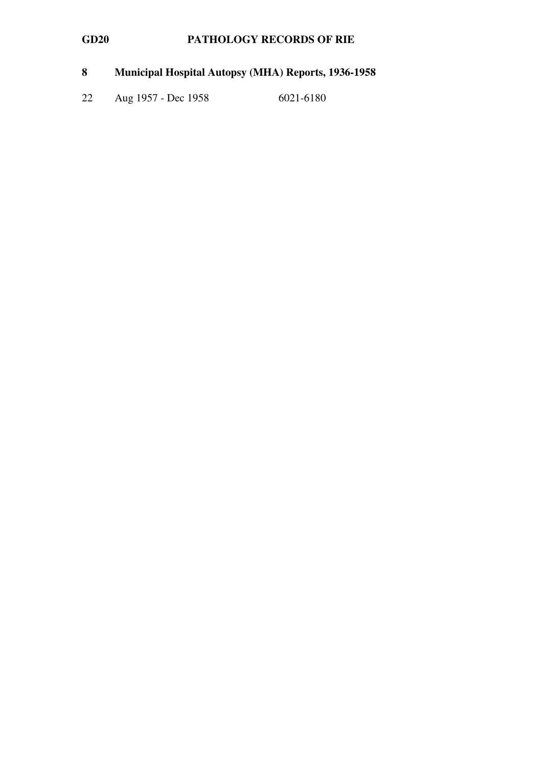# 8 Municipal Hospital Autopsy (MHA) Reports, 1936-1958

22 Aug 1957 - Dec 1958 6021-6180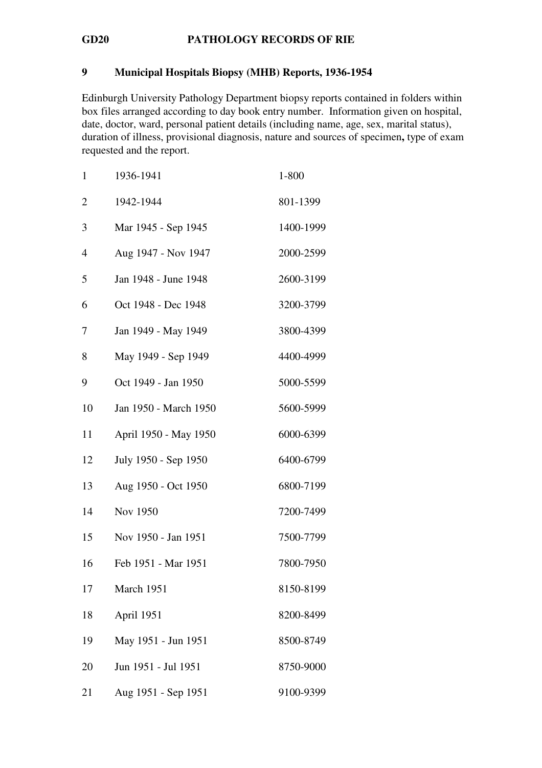### 9 Municipal Hospitals Biopsy (MHB) Reports, 1936-1954

Edinburgh University Pathology Department biopsy reports contained in folders within box files arranged according to day book entry number. Information given on hospital, date, doctor, ward, personal patient details (including name, age, sex, marital status), duration of illness, provisional diagnosis, nature and sources of specimen, type of exam requested and the report.

| $\mathbf{1}$   | 1936-1941             | 1-800     |
|----------------|-----------------------|-----------|
| $\overline{2}$ | 1942-1944             | 801-1399  |
| 3              | Mar 1945 - Sep 1945   | 1400-1999 |
| 4              | Aug 1947 - Nov 1947   | 2000-2599 |
| 5              | Jan 1948 - June 1948  | 2600-3199 |
| 6              | Oct 1948 - Dec 1948   | 3200-3799 |
| 7              | Jan 1949 - May 1949   | 3800-4399 |
| 8              | May 1949 - Sep 1949   | 4400-4999 |
| 9              | Oct 1949 - Jan 1950   | 5000-5599 |
| 10             | Jan 1950 - March 1950 | 5600-5999 |
| 11             | April 1950 - May 1950 | 6000-6399 |
| 12             | July 1950 - Sep 1950  | 6400-6799 |
| 13             | Aug 1950 - Oct 1950   | 6800-7199 |
| 14             | Nov 1950              | 7200-7499 |
| 15             | Nov 1950 - Jan 1951   | 7500-7799 |
| 16             | Feb 1951 - Mar 1951   | 7800-7950 |
| 17             | March 1951            | 8150-8199 |
| 18             | April 1951            | 8200-8499 |
| 19             | May 1951 - Jun 1951   | 8500-8749 |
| 20             | Jun 1951 - Jul 1951   | 8750-9000 |
| 21             | Aug 1951 - Sep 1951   | 9100-9399 |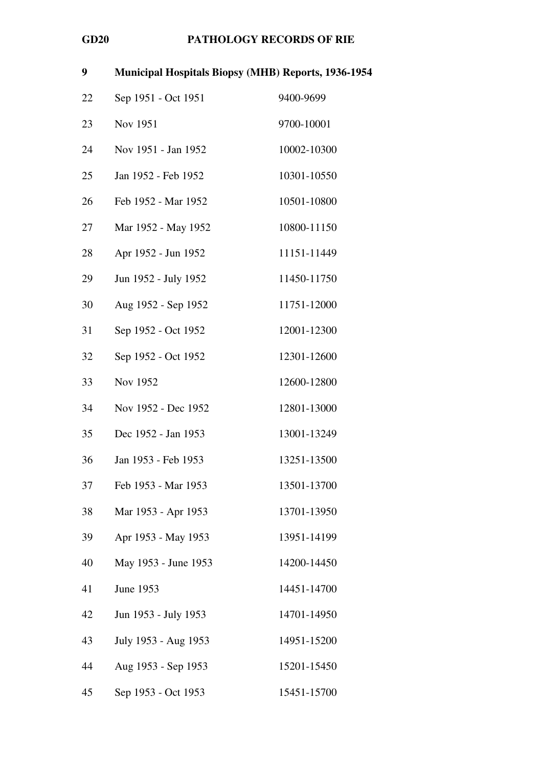| 9  | <b>Municipal Hospitals Biopsy (MHB) Reports, 1936-1954</b> |             |
|----|------------------------------------------------------------|-------------|
| 22 | Sep 1951 - Oct 1951                                        | 9400-9699   |
| 23 | Nov 1951                                                   | 9700-10001  |
| 24 | Nov 1951 - Jan 1952                                        | 10002-10300 |
| 25 | Jan 1952 - Feb 1952                                        | 10301-10550 |
| 26 | Feb 1952 - Mar 1952                                        | 10501-10800 |
| 27 | Mar 1952 - May 1952                                        | 10800-11150 |
| 28 | Apr 1952 - Jun 1952                                        | 11151-11449 |
| 29 | Jun 1952 - July 1952                                       | 11450-11750 |
| 30 | Aug 1952 - Sep 1952                                        | 11751-12000 |
| 31 | Sep 1952 - Oct 1952                                        | 12001-12300 |
| 32 | Sep 1952 - Oct 1952                                        | 12301-12600 |
| 33 | Nov 1952                                                   | 12600-12800 |
| 34 | Nov 1952 - Dec 1952                                        | 12801-13000 |
| 35 | Dec 1952 - Jan 1953                                        | 13001-13249 |
| 36 | Jan 1953 - Feb 1953                                        | 13251-13500 |
| 37 | Feb 1953 - Mar 1953                                        | 13501-13700 |
| 38 | Mar 1953 - Apr 1953                                        | 13701-13950 |
| 39 | Apr 1953 - May 1953                                        | 13951-14199 |
| 40 | May 1953 - June 1953                                       | 14200-14450 |
| 41 | June 1953                                                  | 14451-14700 |
| 42 | Jun 1953 - July 1953                                       | 14701-14950 |
| 43 | July 1953 - Aug 1953                                       | 14951-15200 |
| 44 | Aug 1953 - Sep 1953                                        | 15201-15450 |
| 45 | Sep 1953 - Oct 1953                                        | 15451-15700 |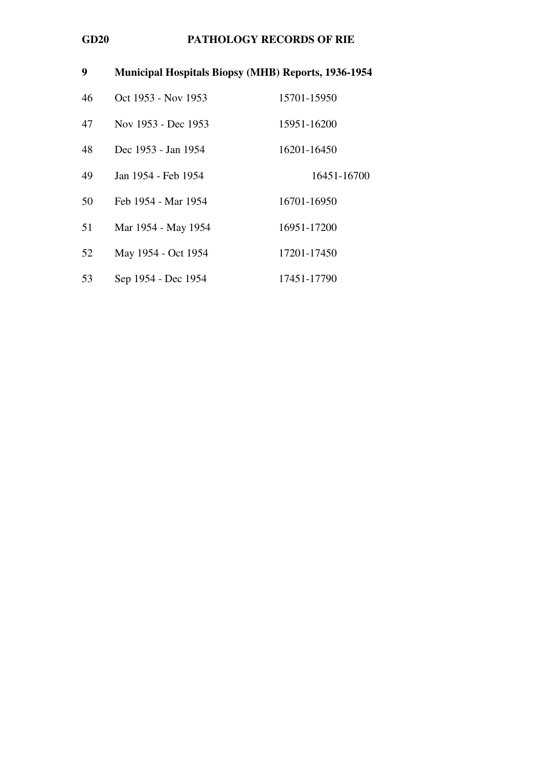| 9  | <b>Municipal Hospitals Biopsy (MHB) Reports, 1936-1954</b> |             |
|----|------------------------------------------------------------|-------------|
| 46 | Oct 1953 - Nov 1953                                        | 15701-15950 |
| 47 | Nov 1953 - Dec 1953                                        | 15951-16200 |
| 48 | Dec 1953 - Jan 1954                                        | 16201-16450 |
| 49 | Jan 1954 - Feb 1954                                        | 16451-16700 |
| 50 | Feb 1954 - Mar 1954                                        | 16701-16950 |
| 51 | Mar 1954 - May 1954                                        | 16951-17200 |
| 52 | May 1954 - Oct 1954                                        | 17201-17450 |
| 53 | Sep 1954 - Dec 1954                                        | 17451-17790 |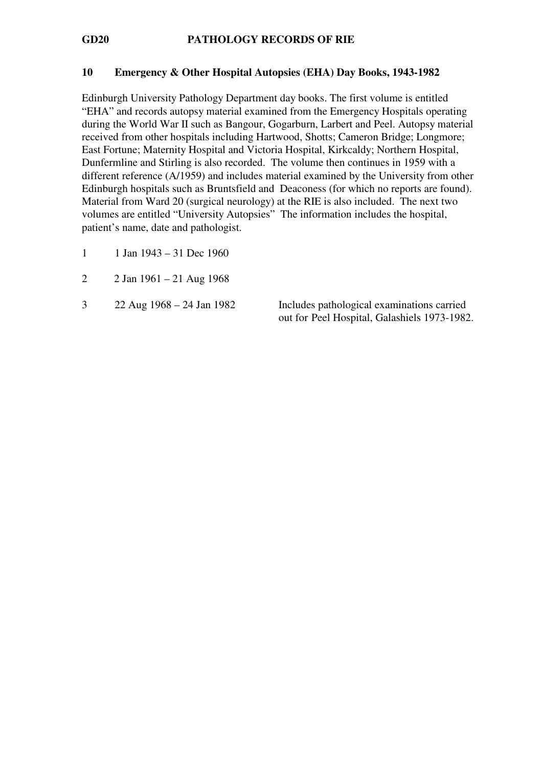### 10 Emergency & Other Hospital Autopsies (EHA) Day Books, 1943-1982

Edinburgh University Pathology Department day books. The first volume is entitled "EHA" and records autopsy material examined from the Emergency Hospitals operating during the World War II such as Bangour, Gogarburn, Larbert and Peel. Autopsy material received from other hospitals including Hartwood, Shotts; Cameron Bridge; Longmore; East Fortune; Maternity Hospital and Victoria Hospital, Kirkcaldy; Northern Hospital, Dunfermline and Stirling is also recorded. The volume then continues in 1959 with a different reference (A/1959) and includes material examined by the University from other Edinburgh hospitals such as Bruntsfield and Deaconess (for which no reports are found). Material from Ward 20 (surgical neurology) at the RIE is also included. The next two volumes are entitled "University Autopsies" The information includes the hospital, patient's name, date and pathologist.

- 1 1 Jan  $1943 31$  Dec 1960
- 2 2 Jan 1961 21 Aug 1968
- 

3 22 Aug 1968 – 24 Jan 1982 Includes pathological examinations carried out for Peel Hospital, Galashiels 1973-1982.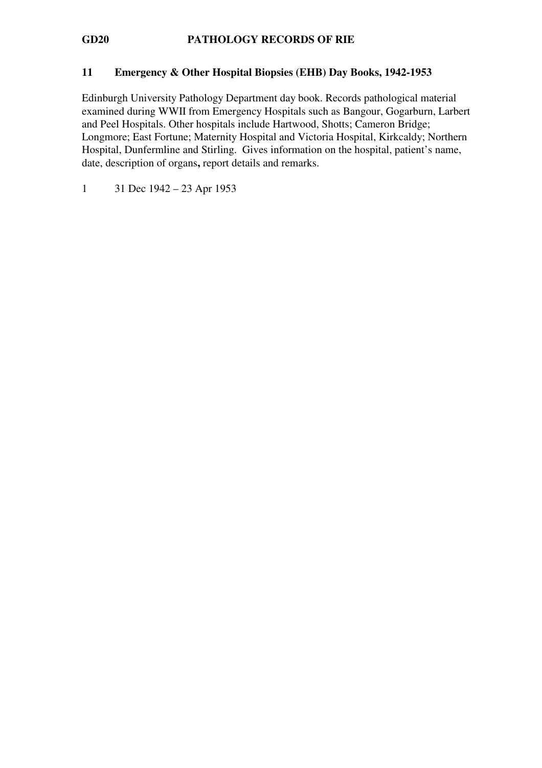### 11 Emergency & Other Hospital Biopsies (EHB) Day Books, 1942-1953

Edinburgh University Pathology Department day book. Records pathological material examined during WWII from Emergency Hospitals such as Bangour, Gogarburn, Larbert and Peel Hospitals. Other hospitals include Hartwood, Shotts; Cameron Bridge; Longmore; East Fortune; Maternity Hospital and Victoria Hospital, Kirkcaldy; Northern Hospital, Dunfermline and Stirling. Gives information on the hospital, patient's name, date, description of organs, report details and remarks.

1 31 Dec 1942 – 23 Apr 1953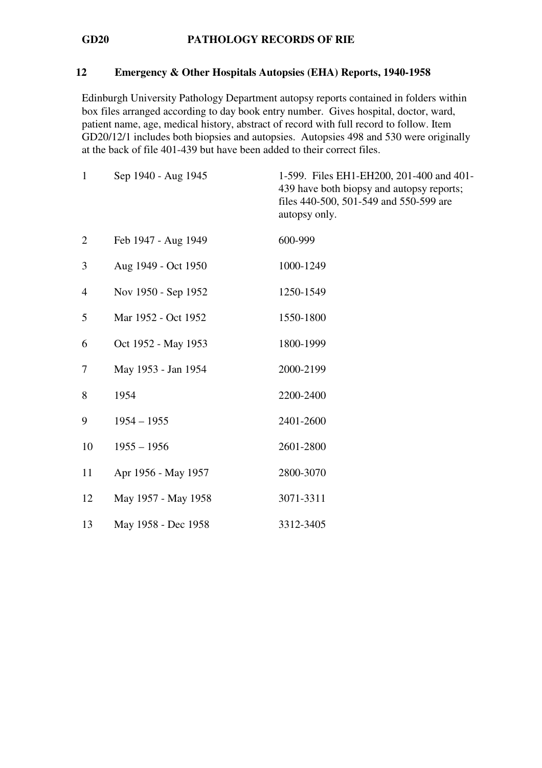### 12 Emergency & Other Hospitals Autopsies (EHA) Reports, 1940-1958

Edinburgh University Pathology Department autopsy reports contained in folders within box files arranged according to day book entry number. Gives hospital, doctor, ward, patient name, age, medical history, abstract of record with full record to follow. Item GD20/12/1 includes both biopsies and autopsies. Autopsies 498 and 530 were originally at the back of file 401-439 but have been added to their correct files.

| $\mathbf{1}$   | Sep 1940 - Aug 1945 | 1-599. Files EH1-EH200, 201-400 and 401-<br>439 have both biopsy and autopsy reports;<br>files 440-500, 501-549 and 550-599 are<br>autopsy only. |
|----------------|---------------------|--------------------------------------------------------------------------------------------------------------------------------------------------|
| $\overline{2}$ | Feb 1947 - Aug 1949 | 600-999                                                                                                                                          |
| 3              | Aug 1949 - Oct 1950 | 1000-1249                                                                                                                                        |
| $\overline{4}$ | Nov 1950 - Sep 1952 | 1250-1549                                                                                                                                        |
| 5              | Mar 1952 - Oct 1952 | 1550-1800                                                                                                                                        |
| 6              | Oct 1952 - May 1953 | 1800-1999                                                                                                                                        |
| 7              | May 1953 - Jan 1954 | 2000-2199                                                                                                                                        |
| 8              | 1954                | 2200-2400                                                                                                                                        |
| 9              | $1954 - 1955$       | 2401-2600                                                                                                                                        |
| 10             | $1955 - 1956$       | 2601-2800                                                                                                                                        |
| 11             | Apr 1956 - May 1957 | 2800-3070                                                                                                                                        |
| 12             | May 1957 - May 1958 | 3071-3311                                                                                                                                        |
| 13             | May 1958 - Dec 1958 | 3312-3405                                                                                                                                        |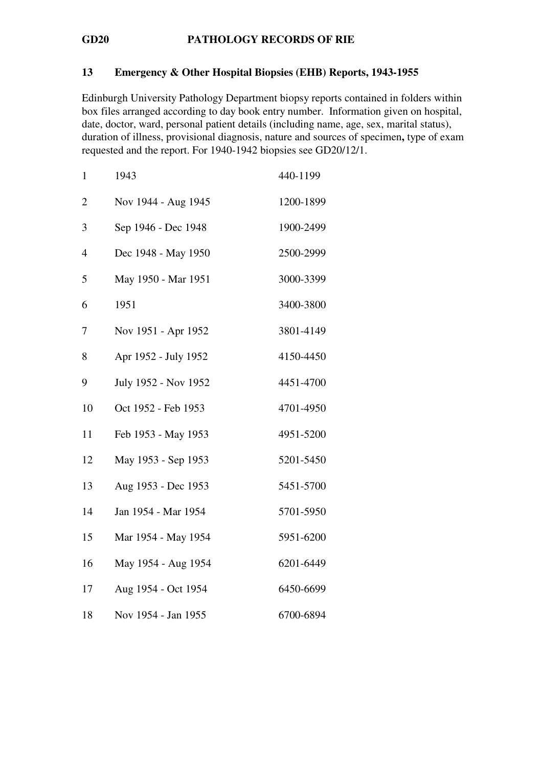### 13 Emergency & Other Hospital Biopsies (EHB) Reports, 1943-1955

Edinburgh University Pathology Department biopsy reports contained in folders within box files arranged according to day book entry number. Information given on hospital, date, doctor, ward, personal patient details (including name, age, sex, marital status), duration of illness, provisional diagnosis, nature and sources of specimen, type of exam requested and the report. For 1940-1942 biopsies see GD20/12/1.

| $\mathbf{1}$   | 1943                 | 440-1199  |
|----------------|----------------------|-----------|
| $\overline{2}$ | Nov 1944 - Aug 1945  | 1200-1899 |
| 3              | Sep 1946 - Dec 1948  | 1900-2499 |
| 4              | Dec 1948 - May 1950  | 2500-2999 |
| 5              | May 1950 - Mar 1951  | 3000-3399 |
| 6              | 1951                 | 3400-3800 |
| 7              | Nov 1951 - Apr 1952  | 3801-4149 |
| 8              | Apr 1952 - July 1952 | 4150-4450 |
| 9              | July 1952 - Nov 1952 | 4451-4700 |
| 10             | Oct 1952 - Feb 1953  | 4701-4950 |
| 11             | Feb 1953 - May 1953  | 4951-5200 |
| 12             | May 1953 - Sep 1953  | 5201-5450 |
| 13             | Aug 1953 - Dec 1953  | 5451-5700 |
| 14             | Jan 1954 - Mar 1954  | 5701-5950 |
| 15             | Mar 1954 - May 1954  | 5951-6200 |
| 16             | May 1954 - Aug 1954  | 6201-6449 |
| 17             | Aug 1954 - Oct 1954  | 6450-6699 |
| 18             | Nov 1954 - Jan 1955  | 6700-6894 |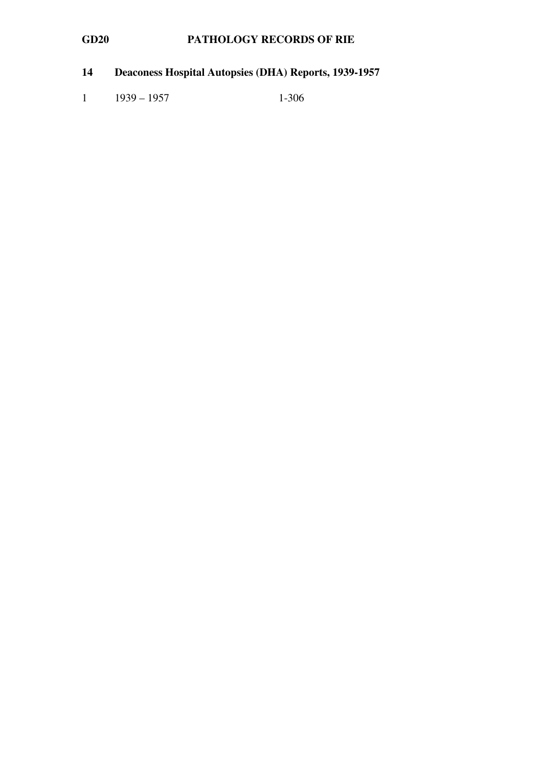# 14 Deaconess Hospital Autopsies (DHA) Reports, 1939-1957

1 1939 – 1957 1-306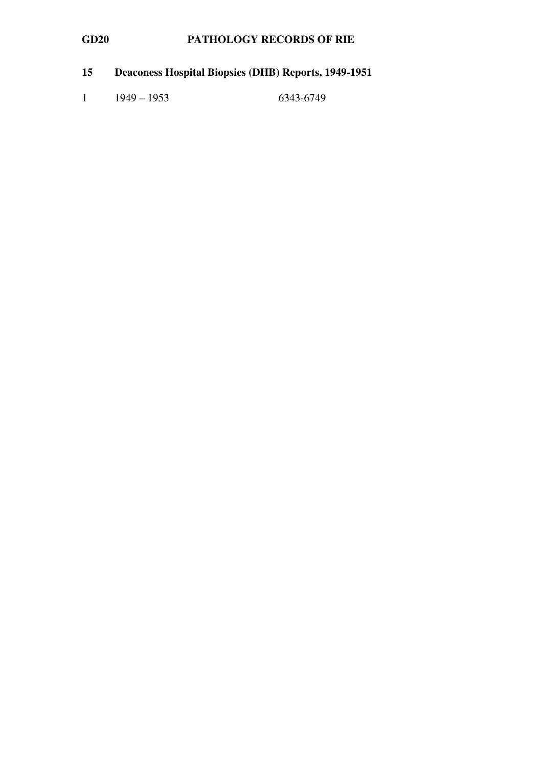# 15 Deaconess Hospital Biopsies (DHB) Reports, 1949-1951

1 1949 – 1953 6343-6749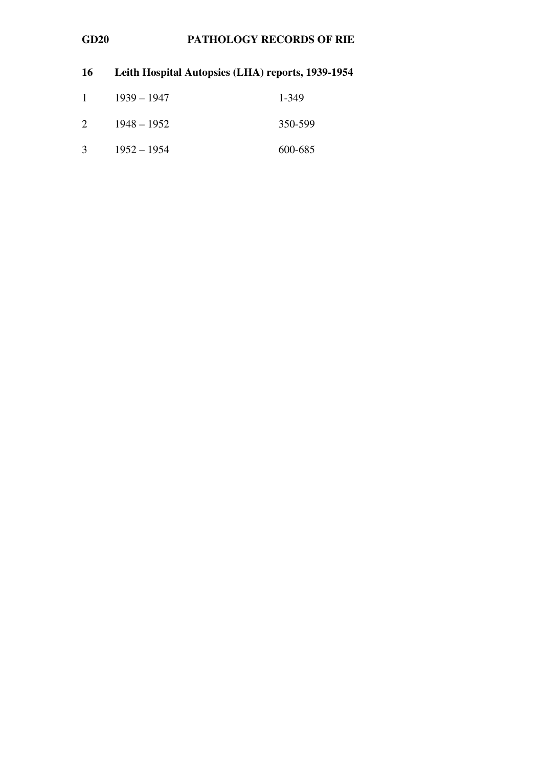| 16        | Leith Hospital Autopsies (LHA) reports, 1939-1954 |         |
|-----------|---------------------------------------------------|---------|
| $1 \quad$ | $1939 - 1947$                                     | 1-349   |
| 2         | $1948 - 1952$                                     | 350-599 |
| 3         | $1952 - 1954$                                     | 600-685 |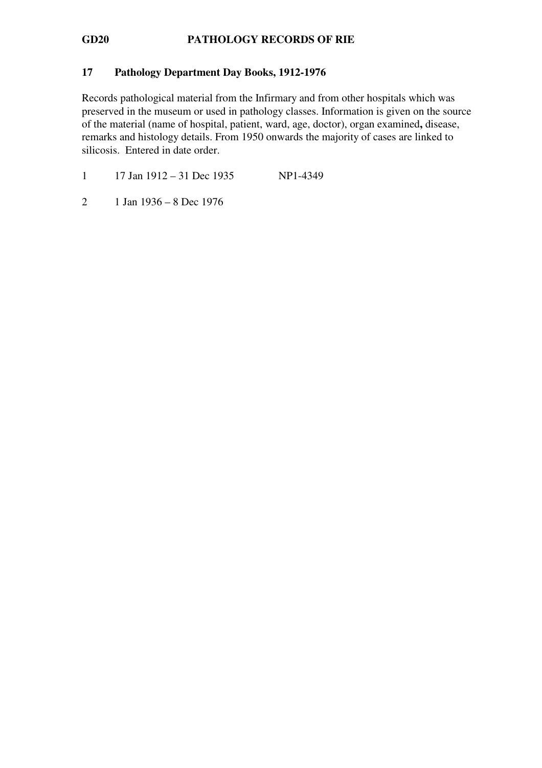### 17 Pathology Department Day Books, 1912-1976

Records pathological material from the Infirmary and from other hospitals which was preserved in the museum or used in pathology classes. Information is given on the source of the material (name of hospital, patient, ward, age, doctor), organ examined, disease, remarks and histology details. From 1950 onwards the majority of cases are linked to silicosis. Entered in date order.

1 17 Jan 1912 – 31 Dec 1935 NP1-4349

2 1 Jan 1936 – 8 Dec 1976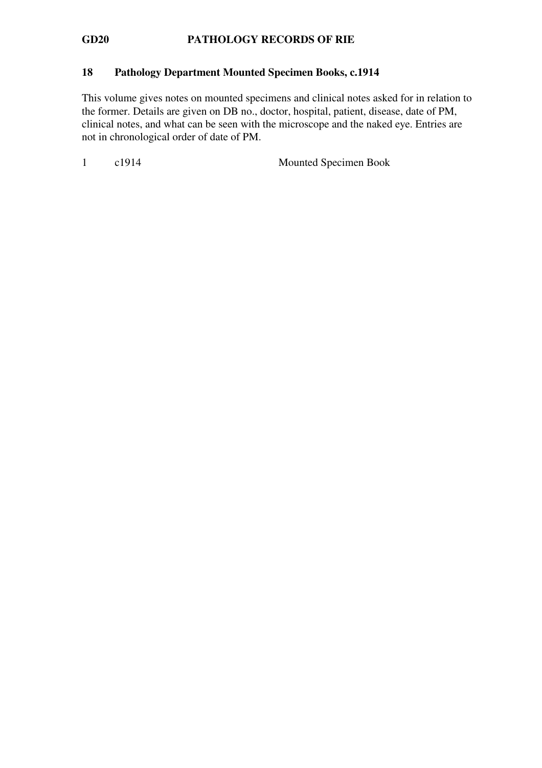### 18 Pathology Department Mounted Specimen Books, c.1914

This volume gives notes on mounted specimens and clinical notes asked for in relation to the former. Details are given on DB no., doctor, hospital, patient, disease, date of PM, clinical notes, and what can be seen with the microscope and the naked eye. Entries are not in chronological order of date of PM.

1 c1914 Mounted Specimen Book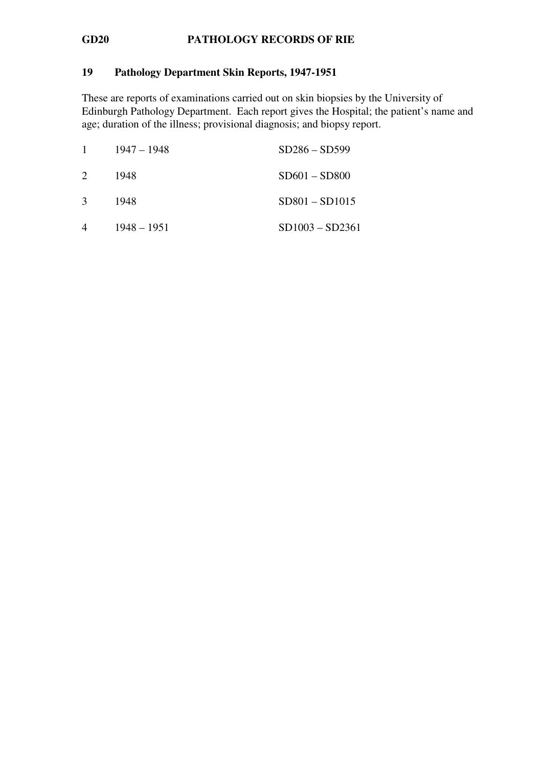# 19 Pathology Department Skin Reports, 1947-1951

These are reports of examinations carried out on skin biopsies by the University of Edinburgh Pathology Department. Each report gives the Hospital; the patient's name and age; duration of the illness; provisional diagnosis; and biopsy report.

| $\mathbf{1}$   | $1947 - 1948$ | $SD286 - SD599$   |
|----------------|---------------|-------------------|
| 2              | 1948          | $SD601 - SD800$   |
| 3              | 1948          | $SD801 - SD1015$  |
| $\overline{4}$ | $1948 - 1951$ | $SD1003 - SD2361$ |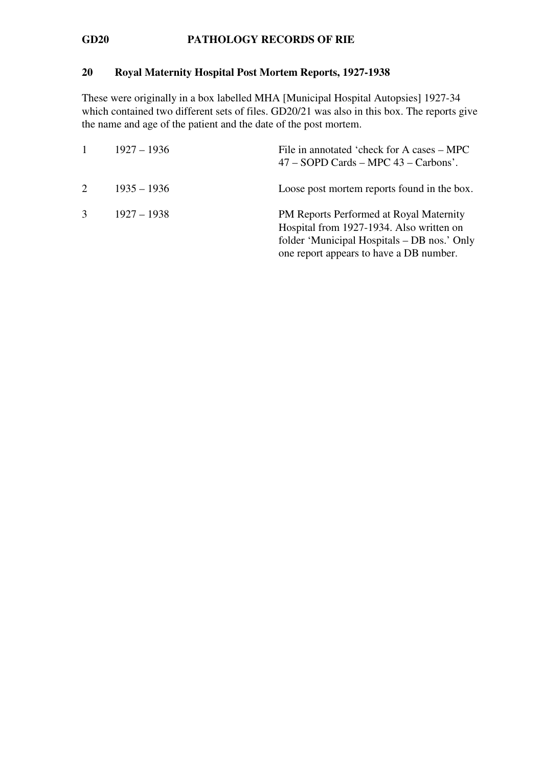# 20 Royal Maternity Hospital Post Mortem Reports, 1927-1938

These were originally in a box labelled MHA [Municipal Hospital Autopsies] 1927-34 which contained two different sets of files. GD20/21 was also in this box. The reports give the name and age of the patient and the date of the post mortem.

|                             | $1927 - 1936$ | File in annotated 'check for A cases – MPC<br>$47 - SOPD$ Cards $-$ MPC $43 -$ Carbons'.                                                                                      |
|-----------------------------|---------------|-------------------------------------------------------------------------------------------------------------------------------------------------------------------------------|
| $\mathcal{D}_{\mathcal{L}}$ | $1935 - 1936$ | Loose post mortem reports found in the box.                                                                                                                                   |
|                             | $1927 - 1938$ | PM Reports Performed at Royal Maternity<br>Hospital from 1927-1934. Also written on<br>folder 'Municipal Hospitals – DB nos.' Only<br>one report appears to have a DB number. |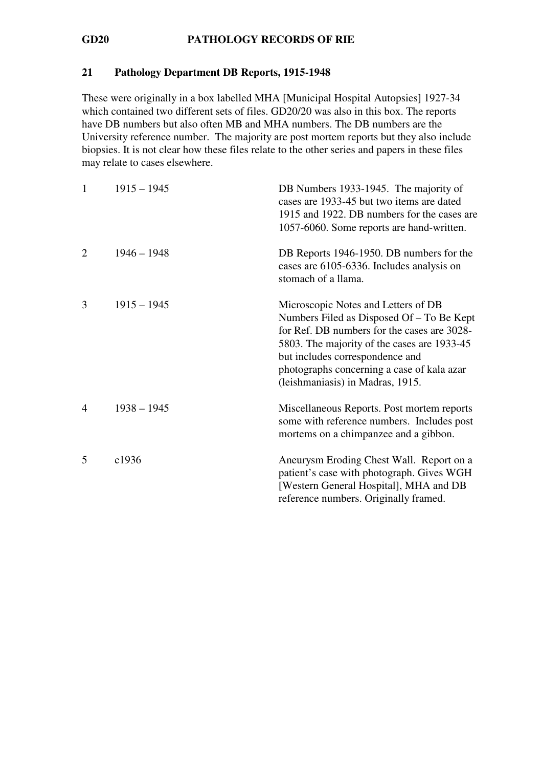### 21 Pathology Department DB Reports, 1915-1948

These were originally in a box labelled MHA [Municipal Hospital Autopsies] 1927-34 which contained two different sets of files. GD20/20 was also in this box. The reports have DB numbers but also often MB and MHA numbers. The DB numbers are the University reference number. The majority are post mortem reports but they also include biopsies. It is not clear how these files relate to the other series and papers in these files may relate to cases elsewhere.

| 1 | $1915 - 1945$ | DB Numbers 1933-1945. The majority of<br>cases are 1933-45 but two items are dated<br>1915 and 1922. DB numbers for the cases are<br>1057-6060. Some reports are hand-written.                                                                                                                      |
|---|---------------|-----------------------------------------------------------------------------------------------------------------------------------------------------------------------------------------------------------------------------------------------------------------------------------------------------|
| 2 | $1946 - 1948$ | DB Reports 1946-1950. DB numbers for the<br>cases are 6105-6336. Includes analysis on<br>stomach of a llama.                                                                                                                                                                                        |
| 3 | $1915 - 1945$ | Microscopic Notes and Letters of DB<br>Numbers Filed as Disposed Of – To Be Kept<br>for Ref. DB numbers for the cases are 3028-<br>5803. The majority of the cases are 1933-45<br>but includes correspondence and<br>photographs concerning a case of kala azar<br>(leishmaniasis) in Madras, 1915. |
| 4 | $1938 - 1945$ | Miscellaneous Reports. Post mortem reports<br>some with reference numbers. Includes post<br>mortems on a chimpanzee and a gibbon.                                                                                                                                                                   |
| 5 | c1936         | Aneurysm Eroding Chest Wall. Report on a<br>patient's case with photograph. Gives WGH<br>[Western General Hospital], MHA and DB<br>reference numbers. Originally framed.                                                                                                                            |